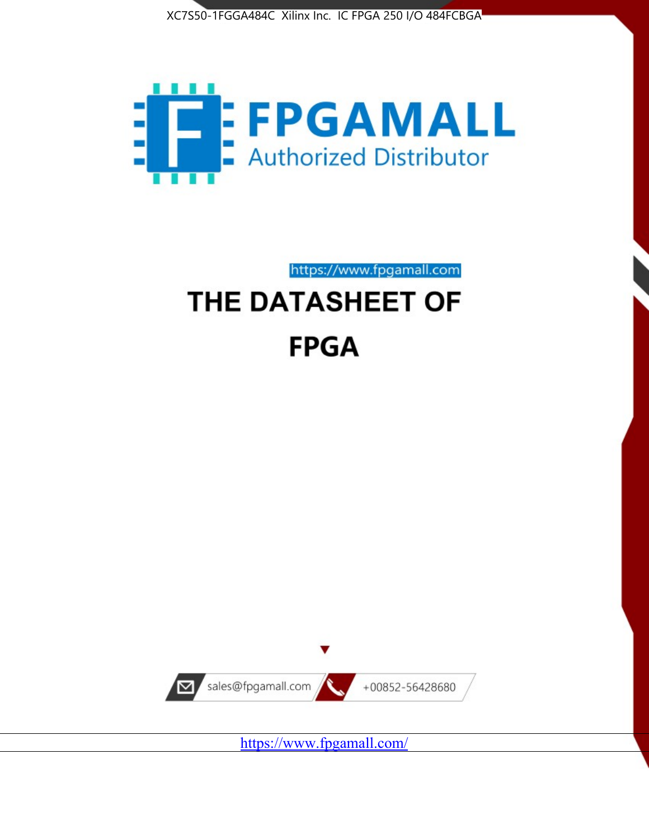



https://www.fpgamall.com THE DATASHEET OF

# **FPGA**



<https://www.fpgamall.com/>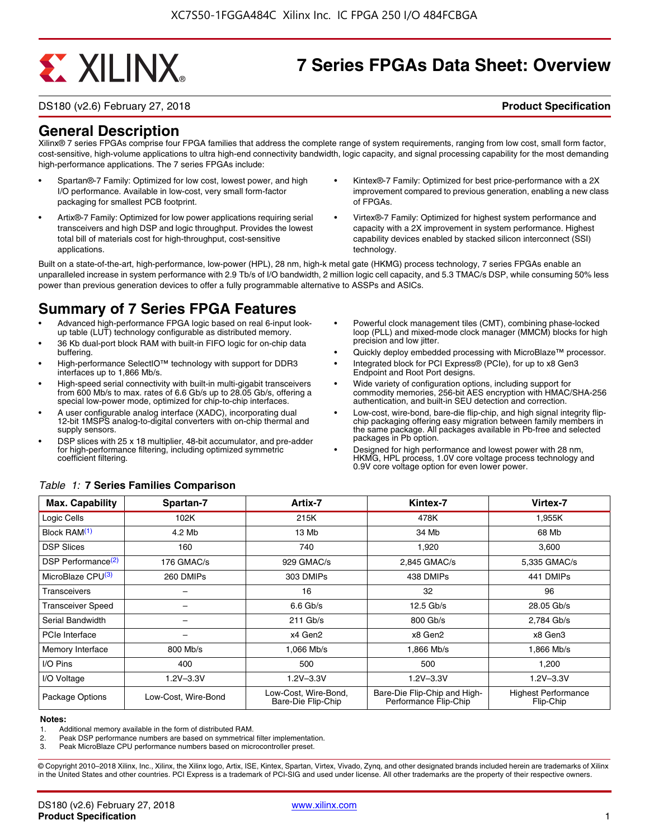# **EXALINX**

# **7 Series FPGAs Data Sheet: Overview**

DS180 (v2.6) February 27, 2018 **Product Specification**

## **General Description**

Xilinx® 7 series FPGAs comprise four FPGA families that address the complete range of system requirements, ranging from low cost, small form factor, cost-sensitive, high-volume applications to ultra high-end connectivity bandwidth, logic capacity, and signal processing capability for the most demanding high-performance applications. The 7 series FPGAs include:

- Spartan®-7 Family: Optimized for low cost, lowest power, and high I/O performance. Available in low-cost, very small form-factor packaging for smallest PCB footprint.
- Artix®-7 Family: Optimized for low power applications requiring serial transceivers and high DSP and logic throughput. Provides the lowest total bill of materials cost for high-throughput, cost-sensitive applications.
- Kintex®-7 Family: Optimized for best price-performance with a 2X improvement compared to previous generation, enabling a new class of FPGAs.
- Virtex®-7 Family: Optimized for highest system performance and capacity with a 2X improvement in system performance. Highest capability devices enabled by stacked silicon interconnect (SSI) technology

Built on a state-of-the-art, high-performance, low-power (HPL), 28 nm, high-k metal gate (HKMG) process technology, 7 series FPGAs enable an unparalleled increase in system performance with 2.9 Tb/s of I/O bandwidth, 2 million logic cell capacity, and 5.3 TMAC/s DSP, while consuming 50% less power than previous generation devices to offer a fully programmable alternative to ASSPs and ASICs.

# **Summary of 7 Series FPGA Features**

- Advanced high-performance FPGA logic based on real 6-input lookup table (LUT) technology configurable as distributed memory.
- 36 Kb dual-port block RAM with built-in FIFO logic for on-chip data buffering.
- High-performance SelectIO™ technology with support for DDR3 interfaces up to 1,866 Mb/s.
- High-speed serial connectivity with built-in multi-gigabit transceivers from 600 Mb/s to max. rates of 6.6 Gb/s up to 28.05 Gb/s, offering a special low-power mode, optimized for chip-to-chip interfaces.
- A user configurable analog interface (XADC), incorporating dual 12-bit 1MSPS analog-to-digital converters with on-chip thermal and supply sensors.
- DSP slices with 25 x 18 multiplier, 48-bit accumulator, and pre-adder for high-performance filtering, including optimized symmetric coefficient filtering.
- Powerful clock management tiles (CMT), combining phase-locked loop (PLL) and mixed-mode clock manager (MMCM) blocks for high precision and low jitter.
- Quickly deploy embedded processing with MicroBlaze<sup>™</sup> processor.
- Integrated block for PCI Express® (PCIe), for up to x8 Gen3 Endpoint and Root Port designs.
- Wide variety of configuration options, including support for commodity memories, 256-bit AES encryption with HMAC/SHA-256 authentication, and built-in SEU detection and correction.
- Low-cost, wire-bond, bare-die flip-chip, and high signal integrity flipchip packaging offering easy migration between family members in the same package. All packages available in Pb-free and selected packages in Pb option.
- Designed for high performance and lowest power with 28 nm, HKMG, HPL process, 1.0V core voltage process technology and 0.9V core voltage option for even lower power.

| <b>Max. Capability</b>         | Spartan-7           | Artix-7                                    | Kintex-7                                              | Virtex-7                                |
|--------------------------------|---------------------|--------------------------------------------|-------------------------------------------------------|-----------------------------------------|
| Logic Cells                    | 102K                | 215K                                       | 478K                                                  | 1,955K                                  |
| Block RAM <sup>(1)</sup>       | 4.2 Mb              | 13 Mb                                      | 34 Mb                                                 | 68 Mb                                   |
| <b>DSP Slices</b>              | 160                 | 740                                        | 1,920                                                 | 3,600                                   |
| DSP Performance <sup>(2)</sup> | 176 GMAC/s          | 929 GMAC/s                                 | 2,845 GMAC/s                                          | 5,335 GMAC/s                            |
| MicroBlaze CPU <sup>(3)</sup>  | 260 DMIPs           | 303 DMIPs                                  | 438 DMIPs                                             | 441 DMIPs                               |
| Transceivers                   |                     | 16                                         | 32                                                    | 96                                      |
| <b>Transceiver Speed</b>       |                     | $6.6$ Gb/s                                 | $12.5$ Gb/s                                           | 28.05 Gb/s                              |
| Serial Bandwidth               |                     | $211$ Gb/s                                 | 800 Gb/s                                              | 2,784 Gb/s                              |
| <b>PCIe Interface</b>          | -                   | x4 Gen2                                    | x8 Gen2                                               | x8 Gen3                                 |
| Memory Interface               | 800 Mb/s            | 1.066 Mb/s                                 | 1.866 Mb/s                                            | 1.866 Mb/s                              |
| I/O Pins                       | 400                 | 500                                        | 500                                                   | 1,200                                   |
| I/O Voltage                    | $1.2V - 3.3V$       | $1.2V - 3.3V$                              | $1.2V - 3.3V$                                         | $1.2V - 3.3V$                           |
| Package Options                | Low-Cost. Wire-Bond | Low-Cost, Wire-Bond,<br>Bare-Die Flip-Chip | Bare-Die Flip-Chip and High-<br>Performance Flip-Chip | <b>Highest Performance</b><br>Flip-Chip |

#### *Table 1:* **7 Series Families Comparison**

#### **Notes:**

1. Additional memory available in the form of distributed RAM.

2. Peak DSP performance numbers are based on symmetrical filter implementation.<br>3. Peak MicroBlaze CPU performance numbers based on microcontroller preset.

Peak MicroBlaze CPU performance numbers based on microcontroller preset.

© Copyright 2010–2018 Xilinx, Inc., Xilinx, the Xilinx logo, Artix, ISE, Kintex, Spartan, Virtex, Vivado, Zynq, and other designated brands included herein are trademarks of Xilinx in the United States and other countries. PCI Express is a trademark of PCI-SIG and used under license. All other trademarks are the property of their respective owners.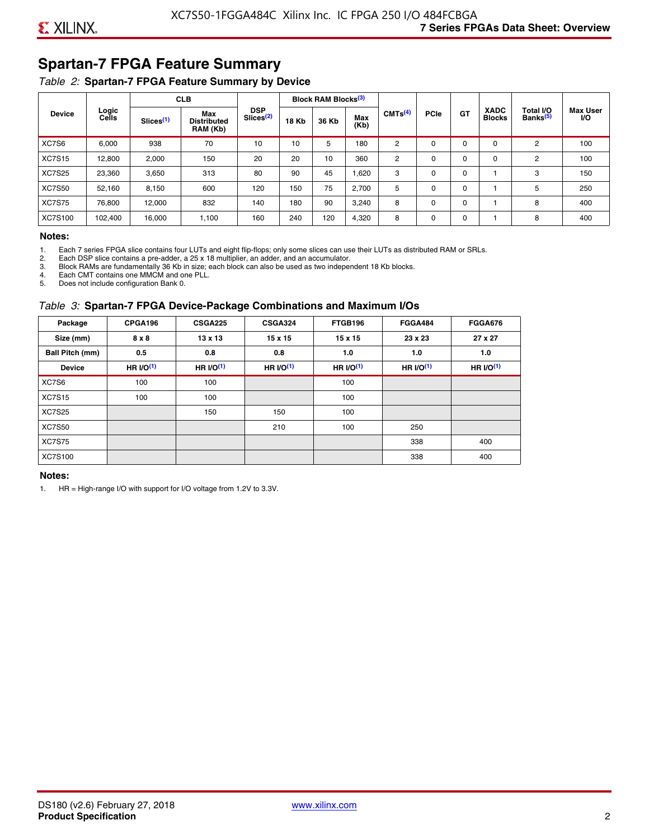# **Spartan-7 FPGA Feature Summary**

#### *Table 2:* **Spartan-7 FPGA Feature Summary by Device**

|               |                |                       | <b>CLB</b>                            |                                     |              | <b>Block RAM Blocks</b> <sup>(3)</sup> |             |                     |             |             |                              |                                   |                              |
|---------------|----------------|-----------------------|---------------------------------------|-------------------------------------|--------------|----------------------------------------|-------------|---------------------|-------------|-------------|------------------------------|-----------------------------------|------------------------------|
| <b>Device</b> | Logic<br>Cells | Slices <sup>(1)</sup> | Max<br><b>Distributed</b><br>RAM (Kb) | <b>DSP</b><br>Slices <sup>(2)</sup> | <b>18 Kb</b> | 36 Kb                                  | Max<br>(Kb) | CMTS <sup>(4)</sup> | <b>PCle</b> | GT          | <b>XADC</b><br><b>Blocks</b> | Total I/O<br>Banks <sup>(5)</sup> | <b>Max User</b><br><b>VO</b> |
| XC7S6         | 6,000          | 938                   | 70                                    | 10                                  | 10           | 5                                      | 180         | 2                   | $\Omega$    | $\Omega$    | $\Omega$                     | 2                                 | 100                          |
| <b>XC7S15</b> | 12,800         | 2,000                 | 150                                   | 20                                  | 20           | 10                                     | 360         | 2                   | 0           | $\mathbf 0$ | 0                            | 2                                 | 100                          |
| <b>XC7S25</b> | 23,360         | 3,650                 | 313                                   | 80                                  | 90           | 45                                     | 1,620       | 3                   | 0           | 0           |                              | 3                                 | 150                          |
| <b>XC7S50</b> | 52,160         | 8,150                 | 600                                   | 120                                 | 150          | 75                                     | 2,700       | 5                   | $\Omega$    | 0           |                              | 5                                 | 250                          |
| <b>XC7S75</b> | 76,800         | 12.000                | 832                                   | 140                                 | 180          | 90                                     | 3,240       | 8                   | 0           | 0           |                              | 8                                 | 400                          |
| XC7S100       | 102,400        | 16,000                | 1,100                                 | 160                                 | 240          | 120                                    | 4,320       | 8                   | 0           | $\mathbf 0$ |                              | 8                                 | 400                          |

#### **Notes:**

1. Each 7 series FPGA slice contains four LUTs and eight flip-flops; only some slices can use their LUTs as distributed RAM or SRLs.<br>2. Each DSP slice contains a pre-adder. a 25 x 18 multiplier. an adder. and an accumulato

2. Each DSP slice contains a pre-adder, a 25 x 18 multiplier, an adder, and an accumulator. 3. Block RAMs are fundamentally 36 Kb in size; each block can also be used as two independent 18 Kb blocks.

4. Each CMT contains one MMCM and one PLL.

5. Does not include configuration Bank 0.

#### *Table 3:* **Spartan-7 FPGA Device-Package Combinations and Maximum I/Os**

| Package         | CPGA196      | <b>CSGA225</b> | <b>CSGA324</b> | FTGB196    | <b>FGGA484</b> | <b>FGGA676</b> |
|-----------------|--------------|----------------|----------------|------------|----------------|----------------|
| Size (mm)       | $8 \times 8$ | $13 \times 13$ | $15 \times 15$ | 15 x 15    | 23 x 23        | 27 x 27        |
| Ball Pitch (mm) | 0.5          | 0.8            | 0.8            | 1.0        | 1.0            | 1.0            |
| <b>Device</b>   | HR $l$ (1)   | HR $UO(1)$     | HR $UO(1)$     | HR $l$ (1) | HR $UO(1)$     | HR $UO(1)$     |
| XC7S6           | 100          | 100            |                | 100        |                |                |
| <b>XC7S15</b>   | 100          | 100            |                | 100        |                |                |
| <b>XC7S25</b>   |              | 150            | 150            | 100        |                |                |
| <b>XC7S50</b>   |              |                | 210            | 100        | 250            |                |
| <b>XC7S75</b>   |              |                |                |            | 338            | 400            |
| <b>XC7S100</b>  |              |                |                |            | 338            | 400            |

#### **Notes:**

1. HR = High-range I/O with support for I/O voltage from 1.2V to 3.3V.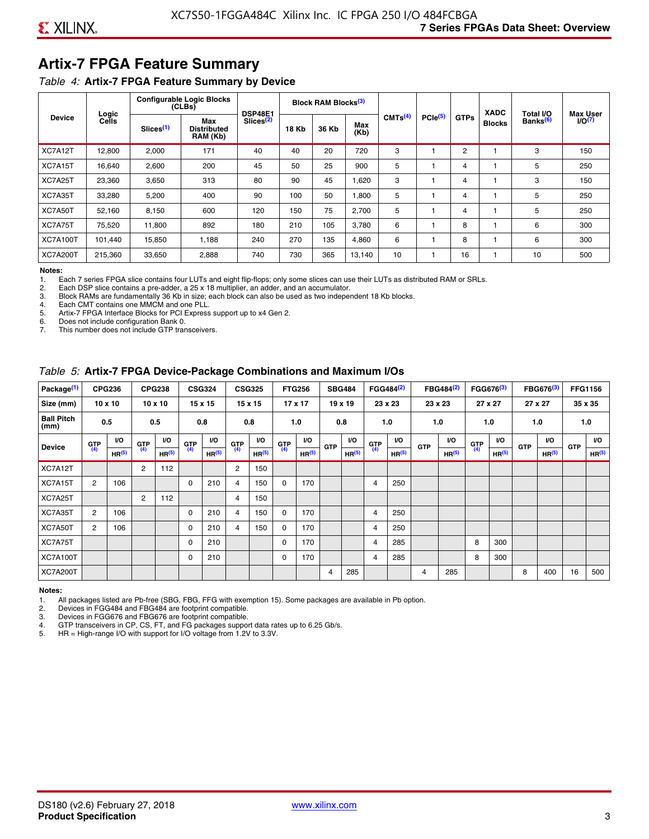# **Artix-7 FPGA Feature Summary**

#### *Table 4:* **Artix-7 FPGA Feature Summary by Device**

|                 |                |                       | <b>Configurable Logic Blocks</b><br>(CLBs) | <b>DSP48E1</b>        |              | Block RAM Blocks <sup>(3)</sup> |             |                     |              |             | <b>XADC</b>   | Total I/O            | <b>Max User</b>    |
|-----------------|----------------|-----------------------|--------------------------------------------|-----------------------|--------------|---------------------------------|-------------|---------------------|--------------|-------------|---------------|----------------------|--------------------|
| <b>Device</b>   | Logic<br>Cells | Slices <sup>(1)</sup> | Max<br><b>Distributed</b><br>RAM (Kb)      | Slices <sup>(2)</sup> | <b>18 Kb</b> | 36 Kb                           | Max<br>(Kb) | CMTS <sup>(4)</sup> | $PCle^{(5)}$ | <b>GTPs</b> | <b>Blocks</b> | Banks <sup>(6)</sup> | I/O <sub>(7)</sub> |
| XC7A12T         | 12,800         | 2,000                 | 171                                        | 40                    | 40           | 20                              | 720         | 3                   |              | 2           |               | 3                    | 150                |
| XC7A15T         | 16,640         | 2,600                 | 200                                        | 45                    | 50           | 25                              | 900         | 5                   |              | 4           |               | 5                    | 250                |
| XC7A25T         | 23,360         | 3,650                 | 313                                        | 80                    | 90           | 45                              | .620        | 3                   |              | 4           |               | 3                    | 150                |
| XC7A35T         | 33,280         | 5,200                 | 400                                        | 90                    | 100          | 50                              | 1,800       | 5                   |              | 4           |               | 5                    | 250                |
| XC7A50T         | 52,160         | 8.150                 | 600                                        | 120                   | 150          | 75                              | 2.700       | 5                   |              | 4           |               | 5                    | 250                |
| XC7A75T         | 75,520         | 11,800                | 892                                        | 180                   | 210          | 105                             | 3,780       | 6                   |              | 8           |               | 6                    | 300                |
| <b>XC7A100T</b> | 101.440        | 15,850                | 1.188                                      | 240                   | 270          | 135                             | 4,860       | 6                   |              | 8           |               | 6                    | 300                |
| <b>XC7A200T</b> | 215,360        | 33,650                | 2,888                                      | 740                   | 730          | 365                             | 13,140      | 10                  |              | 16          |               | 10                   | 500                |

**Notes:**  Each 7 series FPGA slice contains four LUTs and eight flip-flops; only some slices can use their LUTs as distributed RAM or SRLs.

2. Each DSP slice contains a pre-adder, a 25 x 18 multiplier, an adder, and an accumulator.

3. Block RAMs are fundamentally 36 Kb in size; each block can also be used as two independent 18 Kb blocks.

4. Each CMT contains one MMCM and one PLL.<br>5. Artix-7 FPGA Interface Blocks for PCI Express

5. Artix-7 FPGA Interface Blocks for PCI Express support up to x4 Gen 2.<br>6. Does not include configuration Bank 0.

6. Does not include configuration Bank 0.

This number does not include GTP transceivers.

#### *Table 5:* **Artix-7 FPGA Device-Package Combinations and Maximum I/Os**

| Package <sup>(1)</sup>    |            | <b>CPG236</b>     |                | <b>CPG238</b>  |            | <b>CSG324</b> |                | <b>CSG325</b>     |       | <b>FTG256</b>     |            | <b>SBG484</b>     |                | FGG484 <sup>(2)</sup> |                | FBG484 <sup>(2)</sup> |       | FGG676 <sup>(3)</sup> |            | FBG676 <sup>(3)</sup> |            | <b>FFG1156</b> |
|---------------------------|------------|-------------------|----------------|----------------|------------|---------------|----------------|-------------------|-------|-------------------|------------|-------------------|----------------|-----------------------|----------------|-----------------------|-------|-----------------------|------------|-----------------------|------------|----------------|
| Size (mm)                 |            | $10 \times 10$    |                | $10 \times 10$ |            | 15 x 15       |                | 15 x 15           |       | $17 \times 17$    |            | $19 \times 19$    |                | 23 x 23               |                | 23 x 23               |       | 27 x 27               |            | 27 x 27               |            | 35 x 35        |
| <b>Ball Pitch</b><br>(mm) |            | 0.5               |                | 0.5            |            | 0.8           | 0.8            |                   |       | 1.0               |            | 0.8               |                | 1.0                   |                | 1.0                   |       | 1.0                   |            | 1.0                   |            | 1.0            |
| <b>Device</b>             | <b>GTP</b> | <b>VO</b>         | <b>GTP</b>     | <b>VO</b>      | <b>GTP</b> | <b>VO</b>     | <b>GTP</b>     | <b>VO</b>         | G(TP) | VO.               | <b>GTP</b> | VO.               | G(TP)          | <b>VO</b>             | <b>GTP</b>     | <b>VO</b>             | G(TP) | <b>VO</b>             | <b>GTP</b> | <b>VO</b>             | <b>GTP</b> | <b>VO</b>      |
|                           | (4)        | HR <sup>(5)</sup> | (4)            | HR(5)          | (4)        | HP(5)         | (4)            | HR <sup>(5)</sup> |       | HR <sup>(5)</sup> |            | HR <sup>(5)</sup> |                | HR <sup>(5)</sup>     |                | HR <sup>(5)</sup>     |       | HR <sup>(5)</sup>     |            | HR <sup>(5)</sup>     |            | HR(5)          |
| XC7A12T                   |            |                   | $\overline{2}$ | 112            |            |               | $\overline{2}$ | 150               |       |                   |            |                   |                |                       |                |                       |       |                       |            |                       |            |                |
| XC7A15T                   | 2          | 106               |                |                | 0          | 210           | 4              | 150               | 0     | 170               |            |                   | $\overline{4}$ | 250                   |                |                       |       |                       |            |                       |            |                |
| XC7A25T                   |            |                   | 2              | 112            |            |               | 4              | 150               |       |                   |            |                   |                |                       |                |                       |       |                       |            |                       |            |                |
| XC7A35T                   | 2          | 106               |                |                | 0          | 210           | 4              | 150               | 0     | 170               |            |                   | 4              | 250                   |                |                       |       |                       |            |                       |            |                |
| XC7A50T                   | 2          | 106               |                |                | 0          | 210           | 4              | 150               | 0     | 170               |            |                   | 4              | 250                   |                |                       |       |                       |            |                       |            |                |
| XC7A75T                   |            |                   |                |                | 0          | 210           |                |                   | 0     | 170               |            |                   | 4              | 285                   |                |                       | 8     | 300                   |            |                       |            |                |
| <b>XC7A100T</b>           |            |                   |                |                | 0          | 210           |                |                   | 0     | 170               |            |                   | $\overline{4}$ | 285                   |                |                       | 8     | 300                   |            |                       |            |                |
| <b>XC7A200T</b>           |            |                   |                |                |            |               |                |                   |       |                   | 4          | 285               |                |                       | $\overline{4}$ | 285                   |       |                       | 8          | 400                   | 16         | 500            |

#### **Notes:**

1. All packages listed are Pb-free (SBG, FBG, FFG with exemption 15). Some packages are available in Pb option.

2. Devices in FGG484 and FBG484 are footprint compatible.

3. Devices in FGG676 and FBG676 are footprint compatible.

4. GTP transceivers in CP, CS, FT, and FG packages support data rates up to 6.25 Gb/s.<br>5. HR = High-range I/O with support for I/O voltage from 1.2V to 3.3V.

HR = High-range I/O with support for I/O voltage from 1.2V to 3.3V.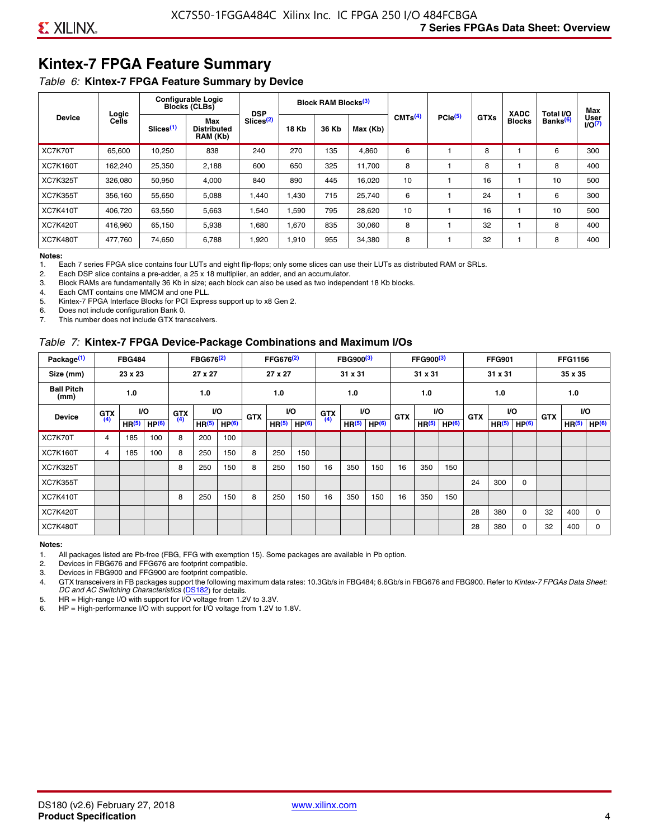# **Kintex-7 FPGA Feature Summary**

#### *Table 6:* **Kintex-7 FPGA Feature Summary by Device**

|                 |                |                       | <b>Configurable Logic</b><br><b>Blocks (CLBs)</b> | <b>DSP</b>            |              | <b>Block RAM Blocks</b> <sup>(3)</sup> |          |                     |                     |             | <b>XADC</b>   | Total I/O            | Max                        |
|-----------------|----------------|-----------------------|---------------------------------------------------|-----------------------|--------------|----------------------------------------|----------|---------------------|---------------------|-------------|---------------|----------------------|----------------------------|
| <b>Device</b>   | Logic<br>Cells | Slices <sup>(1)</sup> | Max<br>Distributed<br>RAM (Kb)                    | Slices <sup>(2)</sup> | <b>18 Kb</b> | 36 Kb                                  | Max (Kb) | CMTS <sup>(4)</sup> | PCle <sup>(5)</sup> | <b>GTXs</b> | <b>Blocks</b> | Banks <sup>(6)</sup> | User<br>1/0 <sup>(7)</sup> |
| XC7K70T         | 65.600         | 10.250                | 838                                               | 240                   | 270          | 135                                    | 4,860    | 6                   |                     | 8           |               | 6                    | 300                        |
| <b>XC7K160T</b> | 162,240        | 25,350                | 2,188                                             | 600                   | 650          | 325                                    | 11.700   | 8                   |                     | 8           |               | 8                    | 400                        |
| <b>XC7K325T</b> | 326.080        | 50,950                | 4.000                                             | 840                   | 890          | 445                                    | 16,020   | 10                  |                     | 16          |               | 10                   | 500                        |
| <b>XC7K355T</b> | 356.160        | 55,650                | 5,088                                             | 1.440                 | 1.430        | 715                                    | 25,740   | 6                   |                     | 24          |               | 6                    | 300                        |
| <b>XC7K410T</b> | 406.720        | 63,550                | 5,663                                             | .540                  | 1.590        | 795                                    | 28,620   | 10                  |                     | 16          |               | 10                   | 500                        |
| <b>XC7K420T</b> | 416.960        | 65.150                | 5,938                                             | 1,680                 | 1.670        | 835                                    | 30,060   | 8                   |                     | 32          |               | 8                    | 400                        |
| <b>XC7K480T</b> | 477,760        | 74,650                | 6,788                                             | 1,920                 | 1,910        | 955                                    | 34,380   | 8                   |                     | 32          |               | 8                    | 400                        |

#### **Notes:**

1. Each 7 series FPGA slice contains four LUTs and eight flip-flops; only some slices can use their LUTs as distributed RAM or SRLs.<br>2. Each DSP slice contains a pre-adder, a 25 x 18 multiplier, an adder, and an accumulato

Each DSP slice contains a pre-adder, a 25 x 18 multiplier, an adder, and an accumulator.

3. Block RAMs are fundamentally 36 Kb in size; each block can also be used as two independent 18 Kb blocks.

4. Each CMT contains one MMCM and one PLL.

5. Kintex-7 FPGA Interface Blocks for PCI Express support up to x8 Gen 2.

6. Does not include configuration Bank 0.

7. This number does not include GTX transceivers.

#### *Table 7:* **Kintex-7 FPGA Device-Package Combinations and Maximum I/Os**

| Package <sup>(1)</sup>    |            | <b>FBG484</b>     |                   |            | FBG676 <sup>(2)</sup> |                   |            | FFG676 <sup>(2)</sup> |                   |            | FBG900 <sup>(3)</sup> |                   |            | FFG900 <sup>(3)</sup> |                   |            | <b>FFG901</b>     |                   |            | <b>FFG1156</b>    |                   |
|---------------------------|------------|-------------------|-------------------|------------|-----------------------|-------------------|------------|-----------------------|-------------------|------------|-----------------------|-------------------|------------|-----------------------|-------------------|------------|-------------------|-------------------|------------|-------------------|-------------------|
| Size (mm)                 |            | 23 x 23           |                   |            | 27 x 27               |                   |            | 27 x 27               |                   |            | 31 x 31               |                   |            | 31 x 31               |                   |            | 31 x 31           |                   |            | 35 x 35           |                   |
| <b>Ball Pitch</b><br>(mm) |            | 1.0               |                   |            | 1.0                   |                   |            | 1.0                   |                   |            | 1.0                   |                   |            | 1.0                   |                   |            | 1.0               |                   |            | 1.0               |                   |
| <b>Device</b>             | <b>GTX</b> |                   | VO.               | <b>GTX</b> | <b>VO</b>             |                   | <b>GTX</b> |                       | <b>VO</b>         | <b>GTX</b> |                       | <b>VO</b>         | <b>GTX</b> | <b>VO</b>             |                   | <b>GTX</b> |                   | VO                | <b>GTX</b> | <b>VO</b>         |                   |
|                           | (4)        | HR <sup>(5)</sup> | HP <sup>(6)</sup> | (4)        | HR <sup>(5)</sup>     | HP <sup>(6)</sup> |            | HR <sup>(5)</sup>     | HP <sup>(6)</sup> | (4)        | HR <sup>(5)</sup>     | HP <sup>(6)</sup> |            | HR <sup>(5)</sup>     | HP <sup>(6)</sup> |            | HR <sup>(5)</sup> | HP <sup>(6)</sup> |            | HR <sup>(5)</sup> | HP <sup>(6)</sup> |
| XC7K70T                   | 4          | 185               | 100               | 8          | 200                   | 100               |            |                       |                   |            |                       |                   |            |                       |                   |            |                   |                   |            |                   |                   |
| <b>XC7K160T</b>           | 4          | 185               | 100               | 8          | 250                   | 150               | 8          | 250                   | 150               |            |                       |                   |            |                       |                   |            |                   |                   |            |                   |                   |
| <b>XC7K325T</b>           |            |                   |                   | 8          | 250                   | 150               | 8          | 250                   | 150               | 16         | 350                   | 150               | 16         | 350                   | 150               |            |                   |                   |            |                   |                   |
| <b>XC7K355T</b>           |            |                   |                   |            |                       |                   |            |                       |                   |            |                       |                   |            |                       |                   | 24         | 300               | 0                 |            |                   |                   |
| <b>XC7K410T</b>           |            |                   |                   | 8          | 250                   | 150               | 8          | 250                   | 150               | 16         | 350                   | 150               | 16         | 350                   | 150               |            |                   |                   |            |                   |                   |
| <b>XC7K420T</b>           |            |                   |                   |            |                       |                   |            |                       |                   |            |                       |                   |            |                       |                   | 28         | 380               | $\Omega$          | 32         | 400               | $\Omega$          |
| <b>XC7K480T</b>           |            |                   |                   |            |                       |                   |            |                       |                   |            |                       |                   |            |                       |                   | 28         | 380               | 0                 | 32         | 400               | $\Omega$          |

#### **Notes:**

1. All packages listed are Pb-free (FBG, FFG with exemption 15). Some packages are available in Pb option.

2. Devices in FBG676 and FFG676 are footprint compatible.

3. Devices in FBG900 and FFG900 are footprint compatible. 4. GTX transceivers in FB packages support the following maximum data rates: 10.3Gb/s in FBG484; 6.6Gb/s in FBG676 and FBG900. Refer to *Kintex-7 FPGAs Data Sheet: DC and AC Switching Characteristics* [\(DS182](https://www.xilinx.com/support/documentation/data_sheets/ds182_Kintex_7_Data_Sheet.pdf)) for details.

5. HR = High-range I/O with support for I/O voltage from 1.2V to 3.3V.

6. HP = High-performance I/O with support for I/O voltage from 1.2V to 1.8V.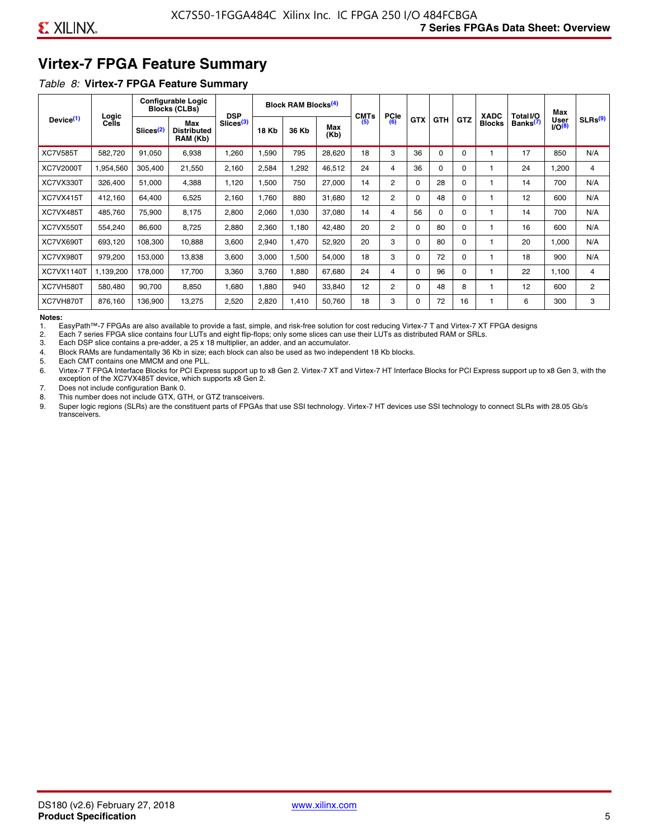# **Virtex-7 FPGA Feature Summary**

#### *Table 8:* **Virtex-7 FPGA Feature Summary**

|                       |                |                       | <b>Configurable Logic</b><br><b>Blocks (CLBs)</b> | <b>DSP</b>            |       | <b>Block RAM Blocks<sup>(4)</sup></b> |             | <b>CMTs</b> | <b>PCle</b>    |            |            |            | <b>XADC</b>   | Total I/O            | Max                        |                |
|-----------------------|----------------|-----------------------|---------------------------------------------------|-----------------------|-------|---------------------------------------|-------------|-------------|----------------|------------|------------|------------|---------------|----------------------|----------------------------|----------------|
| Device <sup>(1)</sup> | Logic<br>Cells | Slices <sup>(2)</sup> | Max<br><b>Distributed</b><br>RAM (Kb)             | Slices <sup>(3)</sup> | 18 Kb | 36 Kb                                 | Max<br>(Kb) | (5)         | (6)            | <b>GTX</b> | <b>GTH</b> | <b>GTZ</b> | <b>Blocks</b> | Banks <sup>(7)</sup> | <b>User</b><br>$1/O^{(8)}$ | SLRs(9)        |
| <b>XC7V585T</b>       | 582,720        | 91,050                | 6,938                                             | 1,260                 | 1,590 | 795                                   | 28,620      | 18          | 3              | 36         | 0          | $\Omega$   |               | 17                   | 850                        | N/A            |
| XC7V2000T             | 1,954,560      | 305,400               | 21,550                                            | 2,160                 | 2,584 | ,292                                  | 46,512      | 24          | 4              | 36         | 0          | 0          |               | 24                   | ,200                       | 4              |
| XC7VX330T             | 326,400        | 51,000                | 4,388                                             | 1,120                 | 1,500 | 750                                   | 27,000      | 14          | $\overline{2}$ | 0          | 28         | 0          |               | 14                   | 700                        | N/A            |
| XC7VX415T             | 412,160        | 64,400                | 6,525                                             | 2,160                 | 1.760 | 880                                   | 31,680      | 12          | $\overline{2}$ | 0          | 48         | $\Omega$   |               | 12                   | 600                        | N/A            |
| XC7VX485T             | 485,760        | 75,900                | 8,175                                             | 2,800                 | 2,060 | 1,030                                 | 37,080      | 14          | 4              | 56         | 0          | $\Omega$   |               | 14                   | 700                        | N/A            |
| XC7VX550T             | 554,240        | 86,600                | 8,725                                             | 2,880                 | 2,360 | 1,180                                 | 42,480      | 20          | $\overline{2}$ | $\Omega$   | 80         | $\Omega$   |               | 16                   | 600                        | N/A            |
| XC7VX690T             | 693,120        | 108,300               | 10,888                                            | 3,600                 | 2,940 | 1,470                                 | 52,920      | 20          | 3              | 0          | 80         | $\Omega$   |               | 20                   | 1,000                      | N/A            |
| XC7VX980T             | 979,200        | 153,000               | 13,838                                            | 3,600                 | 3,000 | 1,500                                 | 54,000      | 18          | 3              | 0          | 72         | $\Omega$   |               | 18                   | 900                        | N/A            |
| XC7VX1140T            | 1,139,200      | 178,000               | 17,700                                            | 3,360                 | 3,760 | 1,880                                 | 67,680      | 24          | 4              | 0          | 96         | 0          |               | 22                   | 1,100                      | 4              |
| XC7VH580T             | 580,480        | 90,700                | 8,850                                             | 1,680                 | 1,880 | 940                                   | 33,840      | 12          | $\overline{c}$ | 0          | 48         | 8          |               | 12                   | 600                        | $\overline{2}$ |
| XC7VH870T             | 876,160        | 136,900               | 13,275                                            | 2,520                 | 2,820 | 1,410                                 | 50,760      | 18          | 3              | 0          | 72         | 16         |               | 6                    | 300                        | 3              |

#### **Notes:**

1. EasyPath™-7 FPGAs are also available to provide a fast, simple, and risk-free solution for cost reducing Virtex-7 T and Virtex-7 XT FPGA designs

2. Each 7 series FPGA slice contains four LUTs and eight flip-flops; only some slices can use their LUTs as distributed RAM or SRLs.

Each DSP slice contains a pre-adder, a 25 x 18 multiplier, an adder, and an accumulator.

4. Block RAMs are fundamentally 36 Kb in size; each block can also be used as two independent 18 Kb blocks.

5. Each CMT contains one MMCM and one PLL.

6. Virtex-7 T FPGA Interface Blocks for PCI Express support up to x8 Gen 2. Virtex-7 XT and Virtex-7 HT Interface Blocks for PCI Express support up to x8 Gen 3, with the exception of the XC7VX485T device, which supports x8 Gen 2.

7. Does not include configuration Bank 0.

8. This number does not include GTX, GTH, or GTZ transceivers.

9. Super logic regions (SLRs) are the constituent parts of FPGAs that use SSI technology. Virtex-7 HT devices use SSI technology to connect SLRs with 28.05 Gb/s transceivers.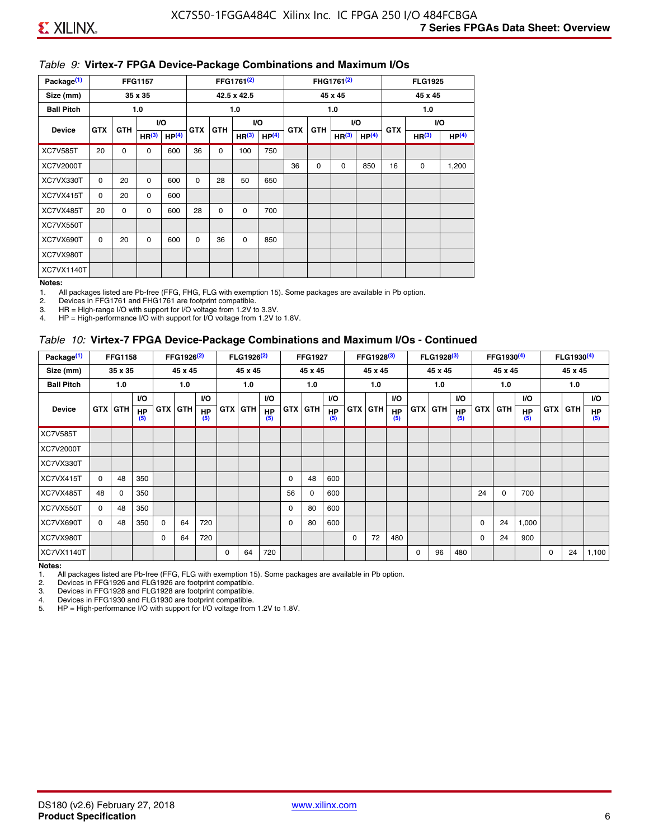#### *Table 9:* **Virtex-7 FPGA Device-Package Combinations and Maximum I/Os**

| Package <sup>(1)</sup> |            |             | <b>FFG1157</b>    |                   |            |            | FFG1761 <sup>(2)</sup> |                   |            |             | FHG1761 <sup>(2)</sup> |                   |            | <b>FLG1925</b>    |                   |
|------------------------|------------|-------------|-------------------|-------------------|------------|------------|------------------------|-------------------|------------|-------------|------------------------|-------------------|------------|-------------------|-------------------|
| Size (mm)              |            |             | 35 x 35           |                   |            |            | 42.5 x 42.5            |                   |            |             | 45 x 45                |                   |            | 45 x 45           |                   |
| <b>Ball Pitch</b>      |            |             | 1.0               |                   |            |            | 1.0                    |                   |            |             | 1.0                    |                   |            | 1.0               |                   |
| <b>Device</b>          | <b>GTX</b> | <b>GTH</b>  |                   | I/O               | <b>GTX</b> | <b>GTH</b> |                        | I/O               | <b>GTX</b> | <b>GTH</b>  | VO.                    |                   | <b>GTX</b> |                   | VO.               |
|                        |            |             | HR <sup>(3)</sup> | HP <sup>(4)</sup> |            |            | HR <sup>(3)</sup>      | HP <sup>(4)</sup> |            |             | HR <sup>(3)</sup>      | HP <sup>(4)</sup> |            | HR <sup>(3)</sup> | HP <sup>(4)</sup> |
| <b>XC7V585T</b>        | 20         | $\mathbf 0$ | 0                 | 600               | 36         | 0          | 100                    | 750               |            |             |                        |                   |            |                   |                   |
| XC7V2000T              |            |             |                   |                   |            |            |                        |                   | 36         | $\mathbf 0$ | 0                      | 850               | 16         | 0                 | 1,200             |
| XC7VX330T              | $\Omega$   | 20          | $\Omega$          | 600               | 0          | 28         | 50                     | 650               |            |             |                        |                   |            |                   |                   |
| XC7VX415T              | 0          | 20          | $\Omega$          | 600               |            |            |                        |                   |            |             |                        |                   |            |                   |                   |
| XC7VX485T              | 20         | 0           | 0                 | 600               | 28         | 0          | 0                      | 700               |            |             |                        |                   |            |                   |                   |
| XC7VX550T              |            |             |                   |                   |            |            |                        |                   |            |             |                        |                   |            |                   |                   |
| XC7VX690T              | $\Omega$   | 20          | $\Omega$          | 600               | $\Omega$   | 36         | 0                      | 850               |            |             |                        |                   |            |                   |                   |
| XC7VX980T              |            |             |                   |                   |            |            |                        |                   |            |             |                        |                   |            |                   |                   |
| XC7VX1140T             |            |             |                   |                   |            |            |                        |                   |            |             |                        |                   |            |                   |                   |

#### **Notes:**

1. All packages listed are Pb-free (FFG, FHG, FLG with exemption 15). Some packages are available in Pb option.

2. Devices in FFG1761 and FHG1761 are footprint compatible.<br>3. HR = High-range I/O with support for I/O voltage from 1.2V to

HR = High-range I/O with support for I/O voltage from 1.2V to 3.3V.

4. HP = High-performance I/O with support for I/O voltage from 1.2V to 1.8V.

#### *Table 10:* **Virtex-7 FPGA Device-Package Combinations and Maximum I/Os - Continued**

| Package <sup>(1)</sup> |          | <b>FFG1158</b> |                  |            | FFG1926 <sup>(2)</sup> |                  |            | FLG1926 <sup>(2)</sup> |                  |    | <b>FFG1927</b> |                  |            | FFG1928 <sup>(3)</sup> |                  |            | FLG1928 <sup>(3)</sup> |                  |             | FFG1930 <sup>(4)</sup> |           |            | $FLG1930^{(4)}$ |                  |
|------------------------|----------|----------------|------------------|------------|------------------------|------------------|------------|------------------------|------------------|----|----------------|------------------|------------|------------------------|------------------|------------|------------------------|------------------|-------------|------------------------|-----------|------------|-----------------|------------------|
| Size (mm)              |          | 35 x 35        |                  |            | 45 x 45                |                  |            | 45 x 45                |                  |    | 45 x 45        |                  |            | 45 x 45                |                  |            | 45 x 45                |                  |             | 45 x 45                |           |            | 45 x 45         |                  |
| <b>Ball Pitch</b>      |          | 1.0            |                  |            | 1.0                    |                  |            | 1.0                    |                  |    | 1.0            |                  |            | 1.0                    |                  |            | 1.0                    |                  |             | 1.0                    |           |            | 1.0             |                  |
|                        |          |                | <b>VO</b>        |            |                        | <b>VO</b>        |            |                        | VO.              |    |                | <b>VO</b>        |            |                        | <b>VO</b>        |            |                        | <b>VO</b>        |             |                        | <b>VO</b> |            |                 | VO.              |
| <b>Device</b>          |          | <b>GTX GTH</b> | <b>HP</b><br>(5) | <b>GTX</b> | <b>GTH</b>             | <b>HP</b><br>(5) | <b>GTX</b> | <b>GTH</b>             | <b>HP</b><br>(5) |    | <b>GTX GTH</b> | <b>HP</b><br>(5) | <b>GTX</b> | <b>GTH</b>             | <b>HP</b><br>(5) | <b>GTX</b> | <b>GTH</b>             | <b>HP</b><br>(5) | <b>GTX</b>  | GTH                    | HP<br>(5) | <b>GTX</b> | GTH             | <b>HP</b><br>(5) |
| <b>XC7V585T</b>        |          |                |                  |            |                        |                  |            |                        |                  |    |                |                  |            |                        |                  |            |                        |                  |             |                        |           |            |                 |                  |
| XC7V2000T              |          |                |                  |            |                        |                  |            |                        |                  |    |                |                  |            |                        |                  |            |                        |                  |             |                        |           |            |                 |                  |
| XC7VX330T              |          |                |                  |            |                        |                  |            |                        |                  |    |                |                  |            |                        |                  |            |                        |                  |             |                        |           |            |                 |                  |
| XC7VX415T              | $\Omega$ | 48             | 350              |            |                        |                  |            |                        |                  | 0  | 48             | 600              |            |                        |                  |            |                        |                  |             |                        |           |            |                 |                  |
| XC7VX485T              | 48       | 0              | 350              |            |                        |                  |            |                        |                  | 56 | 0              | 600              |            |                        |                  |            |                        |                  | 24          | 0                      | 700       |            |                 |                  |
| XC7VX550T              | 0        | 48             | 350              |            |                        |                  |            |                        |                  | 0  | 80             | 600              |            |                        |                  |            |                        |                  |             |                        |           |            |                 |                  |
| XC7VX690T              | $\Omega$ | 48             | 350              | $\Omega$   | 64                     | 720              |            |                        |                  | 0  | 80             | 600              |            |                        |                  |            |                        |                  | $\mathbf 0$ | 24                     | 1,000     |            |                 |                  |
| XC7VX980T              |          |                |                  | $\Omega$   | 64                     | 720              |            |                        |                  |    |                |                  | $\Omega$   | 72                     | 480              |            |                        |                  | 0           | 24                     | 900       |            |                 |                  |
| XC7VX1140T             |          |                |                  |            |                        |                  | $\Omega$   | 64                     | 720              |    |                |                  |            |                        |                  | $\Omega$   | 96                     | 480              |             |                        |           | 0          | 24              | 1,100            |

**Notes:** 

1. All packages listed are Pb-free (FFG, FLG with exemption 15). Some packages are available in Pb option.<br>2. Devices in FFG1926 and FLG1926 are footprint compatible.

2. Devices in FFG1926 and FLG1926 are footprint compatible.

3. Devices in FFG1928 and FLG1928 are footprint compatible.

4. Devices in FFG1930 and FLG1930 are footprint compatible.<br>5. HP = High-performance I/O with support for I/O voltage from HP = High-performance I/O with support for I/O voltage from 1.2V to 1.8V.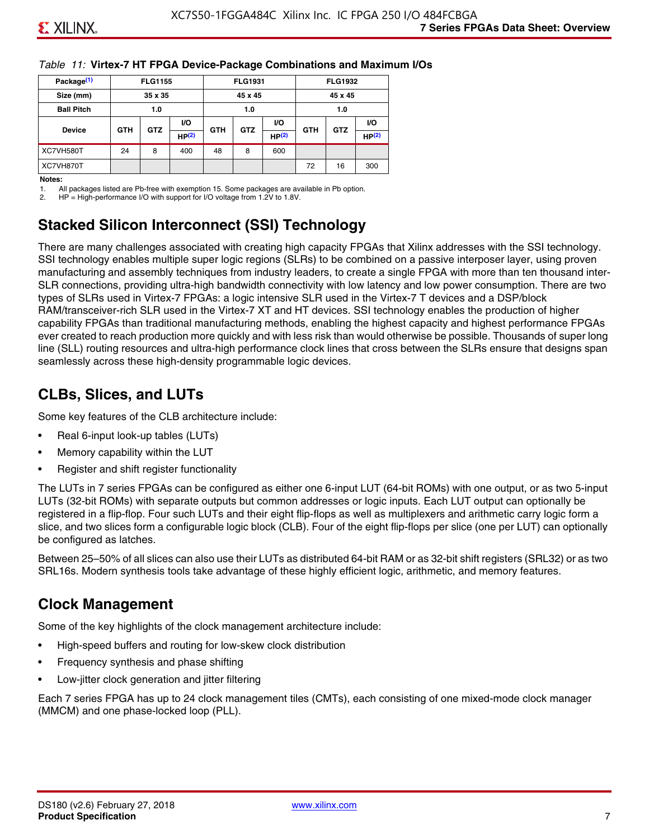#### *Table 11:* **Virtex-7 HT FPGA Device-Package Combinations and Maximum I/Os**

| Package <sup>(1)</sup> |            | <b>FLG1155</b> |       |            | <b>FLG1931</b> |                   |            | <b>FLG1932</b> |                   |
|------------------------|------------|----------------|-------|------------|----------------|-------------------|------------|----------------|-------------------|
| Size (mm)              |            | 35 x 35        |       |            | 45 x 45        |                   |            | 45 x 45        |                   |
| <b>Ball Pitch</b>      |            | 1.0            |       |            | 1.0            |                   |            | 1.0            |                   |
|                        |            |                | VO.   |            |                | <b>VO</b>         |            |                | VO.               |
| <b>Device</b>          | <b>GTH</b> | <b>GTZ</b>     | HP(2) | <b>GTH</b> | <b>GTZ</b>     | HP <sup>(2)</sup> | <b>GTH</b> | <b>GTZ</b>     | HP <sup>(2)</sup> |
| XC7VH580T              | 24         | 8              | 400   | 48         | 8              | 600               |            |                |                   |
| XC7VH870T              |            |                |       |            |                |                   | 72         | 16             | 300               |

#### **Notes:**

1. All packages listed are Pb-free with exemption 15. Some packages are available in Pb option.

2. HP = High-performance I/O with support for I/O voltage from 1.2V to 1.8V.

# **Stacked Silicon Interconnect (SSI) Technology**

There are many challenges associated with creating high capacity FPGAs that Xilinx addresses with the SSI technology. SSI technology enables multiple super logic regions (SLRs) to be combined on a passive interposer layer, using proven manufacturing and assembly techniques from industry leaders, to create a single FPGA with more than ten thousand inter-SLR connections, providing ultra-high bandwidth connectivity with low latency and low power consumption. There are two types of SLRs used in Virtex-7 FPGAs: a logic intensive SLR used in the Virtex-7 T devices and a DSP/block RAM/transceiver-rich SLR used in the Virtex-7 XT and HT devices. SSI technology enables the production of higher capability FPGAs than traditional manufacturing methods, enabling the highest capacity and highest performance FPGAs ever created to reach production more quickly and with less risk than would otherwise be possible. Thousands of super long line (SLL) routing resources and ultra-high performance clock lines that cross between the SLRs ensure that designs span seamlessly across these high-density programmable logic devices.

# **CLBs, Slices, and LUTs**

Some key features of the CLB architecture include:

- Real 6-input look-up tables (LUTs)
- Memory capability within the LUT
- Register and shift register functionality

The LUTs in 7 series FPGAs can be configured as either one 6-input LUT (64-bit ROMs) with one output, or as two 5-input LUTs (32-bit ROMs) with separate outputs but common addresses or logic inputs. Each LUT output can optionally be registered in a flip-flop. Four such LUTs and their eight flip-flops as well as multiplexers and arithmetic carry logic form a slice, and two slices form a configurable logic block (CLB). Four of the eight flip-flops per slice (one per LUT) can optionally be configured as latches.

Between 25–50% of all slices can also use their LUTs as distributed 64-bit RAM or as 32-bit shift registers (SRL32) or as two SRL16s. Modern synthesis tools take advantage of these highly efficient logic, arithmetic, and memory features.

# **Clock Management**

Some of the key highlights of the clock management architecture include:

- High-speed buffers and routing for low-skew clock distribution
- Frequency synthesis and phase shifting
- Low-jitter clock generation and jitter filtering

Each 7 series FPGA has up to 24 clock management tiles (CMTs), each consisting of one mixed-mode clock manager (MMCM) and one phase-locked loop (PLL).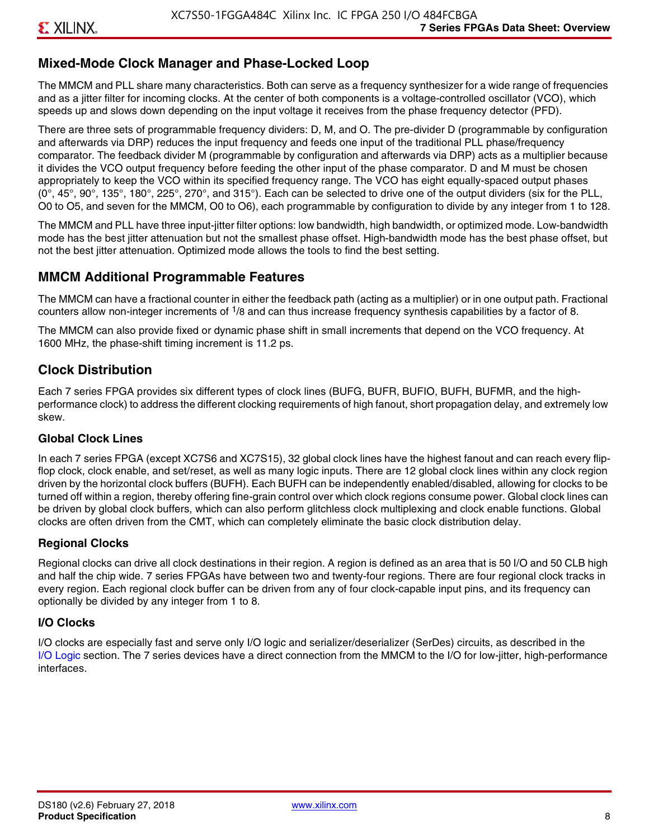### **Mixed-Mode Clock Manager and Phase-Locked Loop**

The MMCM and PLL share many characteristics. Both can serve as a frequency synthesizer for a wide range of frequencies and as a jitter filter for incoming clocks. At the center of both components is a voltage-controlled oscillator (VCO), which speeds up and slows down depending on the input voltage it receives from the phase frequency detector (PFD).

There are three sets of programmable frequency dividers: D, M, and O. The pre-divider D (programmable by configuration and afterwards via DRP) reduces the input frequency and feeds one input of the traditional PLL phase/frequency comparator. The feedback divider M (programmable by configuration and afterwards via DRP) acts as a multiplier because it divides the VCO output frequency before feeding the other input of the phase comparator. D and M must be chosen appropriately to keep the VCO within its specified frequency range. The VCO has eight equally-spaced output phases  $(0^\circ, 45^\circ, 90^\circ, 135^\circ, 180^\circ, 225^\circ, 270^\circ,$  and  $315^\circ$ ). Each can be selected to drive one of the output dividers (six for the PLL, O0 to O5, and seven for the MMCM, O0 to O6), each programmable by configuration to divide by any integer from 1 to 128.

The MMCM and PLL have three input-jitter filter options: low bandwidth, high bandwidth, or optimized mode. Low-bandwidth mode has the best jitter attenuation but not the smallest phase offset. High-bandwidth mode has the best phase offset, but not the best jitter attenuation. Optimized mode allows the tools to find the best setting.

#### **MMCM Additional Programmable Features**

The MMCM can have a fractional counter in either the feedback path (acting as a multiplier) or in one output path. Fractional counters allow non-integer increments of  $1/8$  and can thus increase frequency synthesis capabilities by a factor of 8.

The MMCM can also provide fixed or dynamic phase shift in small increments that depend on the VCO frequency. At 1600 MHz, the phase-shift timing increment is 11.2 ps.

### **Clock Distribution**

Each 7 series FPGA provides six different types of clock lines (BUFG, BUFR, BUFIO, BUFH, BUFMR, and the highperformance clock) to address the different clocking requirements of high fanout, short propagation delay, and extremely low skew.

#### **Global Clock Lines**

In each 7 series FPGA (except XC7S6 and XC7S15), 32 global clock lines have the highest fanout and can reach every flipflop clock, clock enable, and set/reset, as well as many logic inputs. There are 12 global clock lines within any clock region driven by the horizontal clock buffers (BUFH). Each BUFH can be independently enabled/disabled, allowing for clocks to be turned off within a region, thereby offering fine-grain control over which clock regions consume power. Global clock lines can be driven by global clock buffers, which can also perform glitchless clock multiplexing and clock enable functions. Global clocks are often driven from the CMT, which can completely eliminate the basic clock distribution delay.

#### **Regional Clocks**

Regional clocks can drive all clock destinations in their region. A region is defined as an area that is 50 I/O and 50 CLB high and half the chip wide. 7 series FPGAs have between two and twenty-four regions. There are four regional clock tracks in every region. Each regional clock buffer can be driven from any of four clock-capable input pins, and its frequency can optionally be divided by any integer from 1 to 8.

#### **I/O Clocks**

I/O clocks are especially fast and serve only I/O logic and serializer/deserializer (SerDes) circuits, as described in the I/O Logic section. The 7 series devices have a direct connection from the MMCM to the I/O for low-jitter, high-performance interfaces.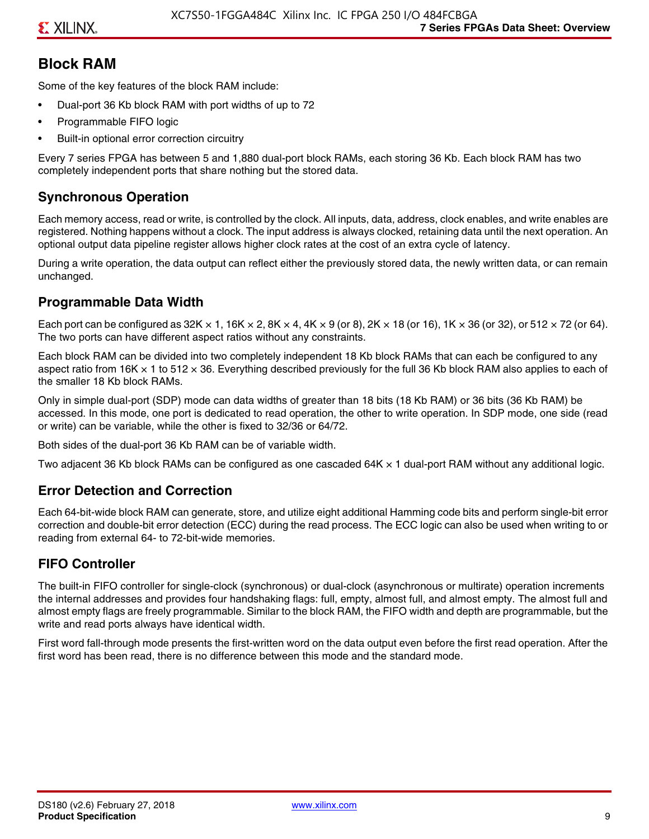# **Block RAM**

Some of the key features of the block RAM include:

- Dual-port 36 Kb block RAM with port widths of up to 72
- Programmable FIFO logic
- Built-in optional error correction circuitry

Every 7 series FPGA has between 5 and 1,880 dual-port block RAMs, each storing 36 Kb. Each block RAM has two completely independent ports that share nothing but the stored data.

# **Synchronous Operation**

Each memory access, read or write, is controlled by the clock. All inputs, data, address, clock enables, and write enables are registered. Nothing happens without a clock. The input address is always clocked, retaining data until the next operation. An optional output data pipeline register allows higher clock rates at the cost of an extra cycle of latency.

During a write operation, the data output can reflect either the previously stored data, the newly written data, or can remain unchanged.

# **Programmable Data Width**

Each port can be configured as 32K  $\times$  1, 16K  $\times$  2, 8K  $\times$  4, 4K  $\times$  9 (or 8), 2K  $\times$  18 (or 16), 1K  $\times$  36 (or 32), or 512  $\times$  72 (or 64). The two ports can have different aspect ratios without any constraints.

Each block RAM can be divided into two completely independent 18 Kb block RAMs that can each be configured to any aspect ratio from 16K  $\times$  1 to 512  $\times$  36. Everything described previously for the full 36 Kb block RAM also applies to each of the smaller 18 Kb block RAMs.

Only in simple dual-port (SDP) mode can data widths of greater than 18 bits (18 Kb RAM) or 36 bits (36 Kb RAM) be accessed. In this mode, one port is dedicated to read operation, the other to write operation. In SDP mode, one side (read or write) can be variable, while the other is fixed to 32/36 or 64/72.

Both sides of the dual-port 36 Kb RAM can be of variable width.

Two adjacent 36 Kb block RAMs can be configured as one cascaded 64K × 1 dual-port RAM without any additional logic.

# **Error Detection and Correction**

Each 64-bit-wide block RAM can generate, store, and utilize eight additional Hamming code bits and perform single-bit error correction and double-bit error detection (ECC) during the read process. The ECC logic can also be used when writing to or reading from external 64- to 72-bit-wide memories.

# **FIFO Controller**

The built-in FIFO controller for single-clock (synchronous) or dual-clock (asynchronous or multirate) operation increments the internal addresses and provides four handshaking flags: full, empty, almost full, and almost empty. The almost full and almost empty flags are freely programmable. Similar to the block RAM, the FIFO width and depth are programmable, but the write and read ports always have identical width.

First word fall-through mode presents the first-written word on the data output even before the first read operation. After the first word has been read, there is no difference between this mode and the standard mode.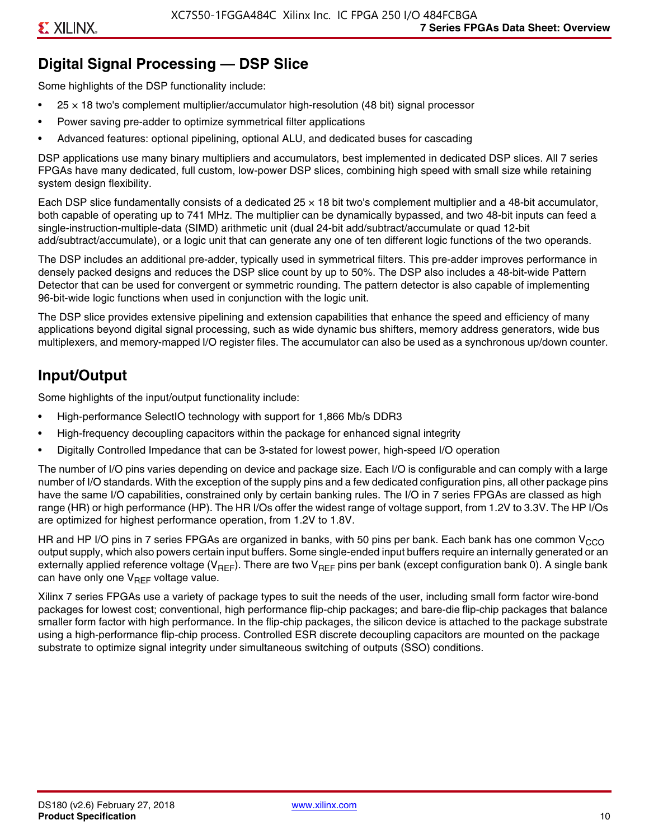# **Digital Signal Processing — DSP Slice**

Some highlights of the DSP functionality include:

- $25 \times 18$  two's complement multiplier/accumulator high-resolution (48 bit) signal processor
- Power saving pre-adder to optimize symmetrical filter applications
- Advanced features: optional pipelining, optional ALU, and dedicated buses for cascading

DSP applications use many binary multipliers and accumulators, best implemented in dedicated DSP slices. All 7 series FPGAs have many dedicated, full custom, low-power DSP slices, combining high speed with small size while retaining system design flexibility.

Each DSP slice fundamentally consists of a dedicated 25 × 18 bit two's complement multiplier and a 48-bit accumulator, both capable of operating up to 741 MHz. The multiplier can be dynamically bypassed, and two 48-bit inputs can feed a single-instruction-multiple-data (SIMD) arithmetic unit (dual 24-bit add/subtract/accumulate or quad 12-bit add/subtract/accumulate), or a logic unit that can generate any one of ten different logic functions of the two operands.

The DSP includes an additional pre-adder, typically used in symmetrical filters. This pre-adder improves performance in densely packed designs and reduces the DSP slice count by up to 50%. The DSP also includes a 48-bit-wide Pattern Detector that can be used for convergent or symmetric rounding. The pattern detector is also capable of implementing 96-bit-wide logic functions when used in conjunction with the logic unit.

The DSP slice provides extensive pipelining and extension capabilities that enhance the speed and efficiency of many applications beyond digital signal processing, such as wide dynamic bus shifters, memory address generators, wide bus multiplexers, and memory-mapped I/O register files. The accumulator can also be used as a synchronous up/down counter.

# **Input/Output**

Some highlights of the input/output functionality include:

- High-performance SelectIO technology with support for 1,866 Mb/s DDR3
- High-frequency decoupling capacitors within the package for enhanced signal integrity
- Digitally Controlled Impedance that can be 3-stated for lowest power, high-speed I/O operation

The number of I/O pins varies depending on device and package size. Each I/O is configurable and can comply with a large number of I/O standards. With the exception of the supply pins and a few dedicated configuration pins, all other package pins have the same I/O capabilities, constrained only by certain banking rules. The I/O in 7 series FPGAs are classed as high range (HR) or high performance (HP). The HR I/Os offer the widest range of voltage support, from 1.2V to 3.3V. The HP I/Os are optimized for highest performance operation, from 1.2V to 1.8V.

HR and HP I/O pins in 7 series FPGAs are organized in banks, with 50 pins per bank. Each bank has one common V<sub>CCO</sub> output supply, which also powers certain input buffers. Some single-ended input buffers require an internally generated or an externally applied reference voltage ( $V_{RFF}$ ). There are two  $V_{RFF}$  pins per bank (except configuration bank 0). A single bank can have only one  $V_{\text{RFF}}$  voltage value.

Xilinx 7 series FPGAs use a variety of package types to suit the needs of the user, including small form factor wire-bond packages for lowest cost; conventional, high performance flip-chip packages; and bare-die flip-chip packages that balance smaller form factor with high performance. In the flip-chip packages, the silicon device is attached to the package substrate using a high-performance flip-chip process. Controlled ESR discrete decoupling capacitors are mounted on the package substrate to optimize signal integrity under simultaneous switching of outputs (SSO) conditions.

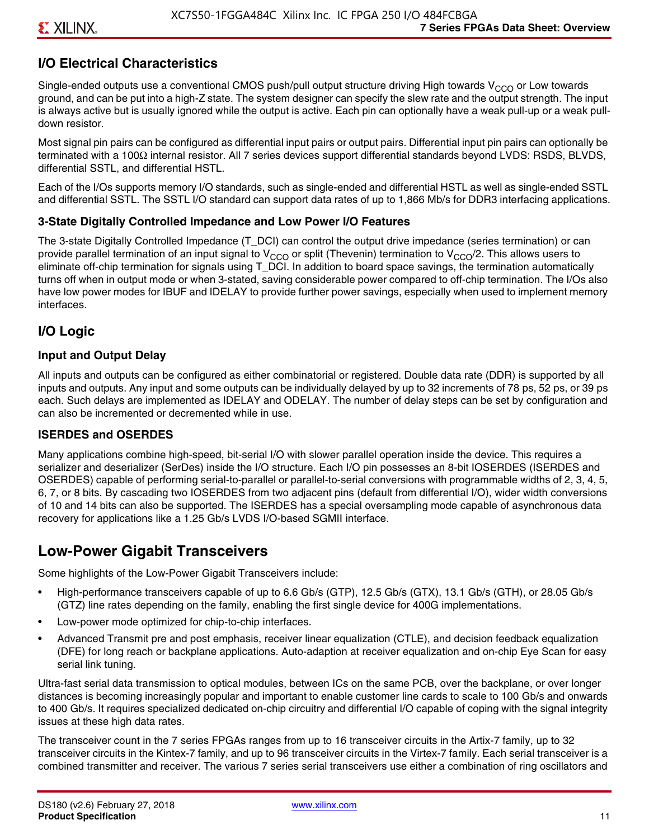# **I/O Electrical Characteristics**

Single-ended outputs use a conventional CMOS push/pull output structure driving High towards  $V_{CCO}$  or Low towards ground, and can be put into a high-Z state. The system designer can specify the slew rate and the output strength. The input is always active but is usually ignored while the output is active. Each pin can optionally have a weak pull-up or a weak pulldown resistor.

Most signal pin pairs can be configured as differential input pairs or output pairs. Differential input pin pairs can optionally be terminated with a 100Ω internal resistor. All 7 series devices support differential standards beyond LVDS: RSDS, BLVDS, differential SSTL, and differential HSTL.

Each of the I/Os supports memory I/O standards, such as single-ended and differential HSTL as well as single-ended SSTL and differential SSTL. The SSTL I/O standard can support data rates of up to 1,866 Mb/s for DDR3 interfacing applications.

#### **3-State Digitally Controlled Impedance and Low Power I/O Features**

The 3-state Digitally Controlled Impedance (T\_DCI) can control the output drive impedance (series termination) or can provide parallel termination of an input signal to V<sub>CCO</sub> or split (Thevenin) termination to V<sub>CCO</sub>/2. This allows users to eliminate off-chip termination for signals using T\_DCI. In addition to board space savings, the termination automatically turns off when in output mode or when 3-stated, saving considerable power compared to off-chip termination. The I/Os also have low power modes for IBUF and IDELAY to provide further power savings, especially when used to implement memory interfaces.

#### **I/O Logic**

#### **Input and Output Delay**

All inputs and outputs can be configured as either combinatorial or registered. Double data rate (DDR) is supported by all inputs and outputs. Any input and some outputs can be individually delayed by up to 32 increments of 78 ps, 52 ps, or 39 ps each. Such delays are implemented as IDELAY and ODELAY. The number of delay steps can be set by configuration and can also be incremented or decremented while in use.

#### **ISERDES and OSERDES**

Many applications combine high-speed, bit-serial I/O with slower parallel operation inside the device. This requires a serializer and deserializer (SerDes) inside the I/O structure. Each I/O pin possesses an 8-bit IOSERDES (ISERDES and OSERDES) capable of performing serial-to-parallel or parallel-to-serial conversions with programmable widths of 2, 3, 4, 5, 6, 7, or 8 bits. By cascading two IOSERDES from two adjacent pins (default from differential I/O), wider width conversions of 10 and 14 bits can also be supported. The ISERDES has a special oversampling mode capable of asynchronous data recovery for applications like a 1.25 Gb/s LVDS I/O-based SGMII interface.

# **Low-Power Gigabit Transceivers**

Some highlights of the Low-Power Gigabit Transceivers include:

- High-performance transceivers capable of up to 6.6 Gb/s (GTP), 12.5 Gb/s (GTX), 13.1 Gb/s (GTH), or 28.05 Gb/s (GTZ) line rates depending on the family, enabling the first single device for 400G implementations.
- Low-power mode optimized for chip-to-chip interfaces.
- Advanced Transmit pre and post emphasis, receiver linear equalization (CTLE), and decision feedback equalization (DFE) for long reach or backplane applications. Auto-adaption at receiver equalization and on-chip Eye Scan for easy serial link tuning.

Ultra-fast serial data transmission to optical modules, between ICs on the same PCB, over the backplane, or over longer distances is becoming increasingly popular and important to enable customer line cards to scale to 100 Gb/s and onwards to 400 Gb/s. It requires specialized dedicated on-chip circuitry and differential I/O capable of coping with the signal integrity issues at these high data rates.

The transceiver count in the 7 series FPGAs ranges from up to 16 transceiver circuits in the Artix-7 family, up to 32 transceiver circuits in the Kintex-7 family, and up to 96 transceiver circuits in the Virtex-7 family. Each serial transceiver is a combined transmitter and receiver. The various 7 series serial transceivers use either a combination of ring oscillators and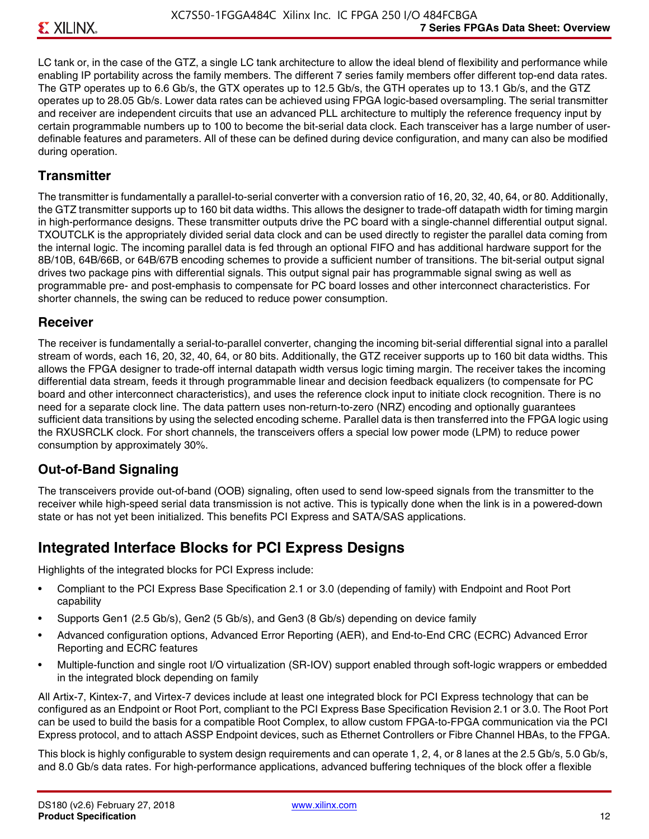LC tank or, in the case of the GTZ, a single LC tank architecture to allow the ideal blend of flexibility and performance while enabling IP portability across the family members. The different 7 series family members offer different top-end data rates. The GTP operates up to 6.6 Gb/s, the GTX operates up to 12.5 Gb/s, the GTH operates up to 13.1 Gb/s, and the GTZ operates up to 28.05 Gb/s. Lower data rates can be achieved using FPGA logic-based oversampling. The serial transmitter and receiver are independent circuits that use an advanced PLL architecture to multiply the reference frequency input by certain programmable numbers up to 100 to become the bit-serial data clock. Each transceiver has a large number of userdefinable features and parameters. All of these can be defined during device configuration, and many can also be modified during operation.

### **Transmitter**

The transmitter is fundamentally a parallel-to-serial converter with a conversion ratio of 16, 20, 32, 40, 64, or 80. Additionally, the GTZ transmitter supports up to 160 bit data widths. This allows the designer to trade-off datapath width for timing margin in high-performance designs. These transmitter outputs drive the PC board with a single-channel differential output signal. TXOUTCLK is the appropriately divided serial data clock and can be used directly to register the parallel data coming from the internal logic. The incoming parallel data is fed through an optional FIFO and has additional hardware support for the 8B/10B, 64B/66B, or 64B/67B encoding schemes to provide a sufficient number of transitions. The bit-serial output signal drives two package pins with differential signals. This output signal pair has programmable signal swing as well as programmable pre- and post-emphasis to compensate for PC board losses and other interconnect characteristics. For shorter channels, the swing can be reduced to reduce power consumption.

#### **Receiver**

The receiver is fundamentally a serial-to-parallel converter, changing the incoming bit-serial differential signal into a parallel stream of words, each 16, 20, 32, 40, 64, or 80 bits. Additionally, the GTZ receiver supports up to 160 bit data widths. This allows the FPGA designer to trade-off internal datapath width versus logic timing margin. The receiver takes the incoming differential data stream, feeds it through programmable linear and decision feedback equalizers (to compensate for PC board and other interconnect characteristics), and uses the reference clock input to initiate clock recognition. There is no need for a separate clock line. The data pattern uses non-return-to-zero (NRZ) encoding and optionally guarantees sufficient data transitions by using the selected encoding scheme. Parallel data is then transferred into the FPGA logic using the RXUSRCLK clock. For short channels, the transceivers offers a special low power mode (LPM) to reduce power consumption by approximately 30%.

### **Out-of-Band Signaling**

The transceivers provide out-of-band (OOB) signaling, often used to send low-speed signals from the transmitter to the receiver while high-speed serial data transmission is not active. This is typically done when the link is in a powered-down state or has not yet been initialized. This benefits PCI Express and SATA/SAS applications.

# **Integrated Interface Blocks for PCI Express Designs**

Highlights of the integrated blocks for PCI Express include:

- Compliant to the PCI Express Base Specification 2.1 or 3.0 (depending of family) with Endpoint and Root Port capability
- Supports Gen1 (2.5 Gb/s), Gen2 (5 Gb/s), and Gen3 (8 Gb/s) depending on device family
- Advanced configuration options, Advanced Error Reporting (AER), and End-to-End CRC (ECRC) Advanced Error Reporting and ECRC features
- Multiple-function and single root I/O virtualization (SR-IOV) support enabled through soft-logic wrappers or embedded in the integrated block depending on family

All Artix-7, Kintex-7, and Virtex-7 devices include at least one integrated block for PCI Express technology that can be configured as an Endpoint or Root Port, compliant to the PCI Express Base Specification Revision 2.1 or 3.0. The Root Port can be used to build the basis for a compatible Root Complex, to allow custom FPGA-to-FPGA communication via the PCI Express protocol, and to attach ASSP Endpoint devices, such as Ethernet Controllers or Fibre Channel HBAs, to the FPGA.

This block is highly configurable to system design requirements and can operate 1, 2, 4, or 8 lanes at the 2.5 Gb/s, 5.0 Gb/s, and 8.0 Gb/s data rates. For high-performance applications, advanced buffering techniques of the block offer a flexible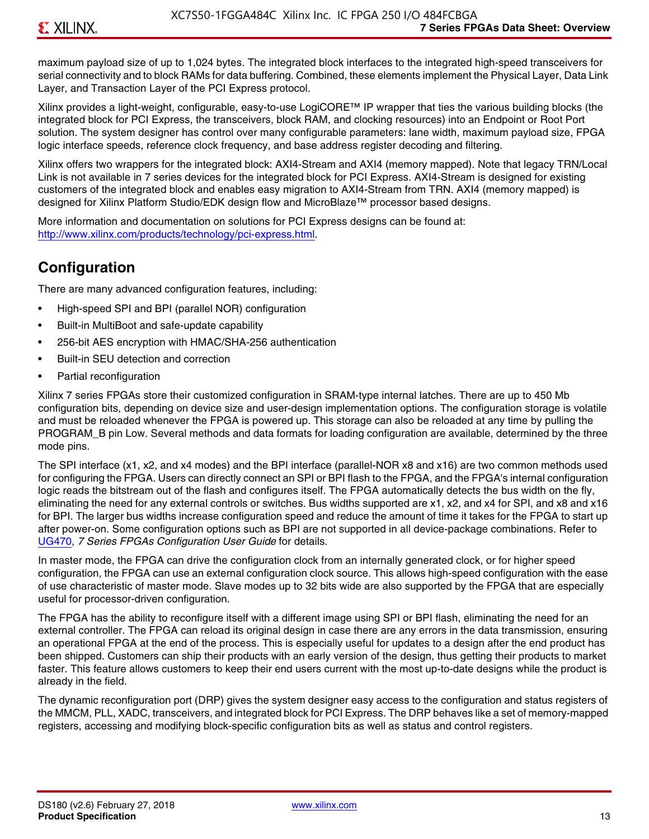maximum payload size of up to 1,024 bytes. The integrated block interfaces to the integrated high-speed transceivers for serial connectivity and to block RAMs for data buffering. Combined, these elements implement the Physical Layer, Data Link Layer, and Transaction Layer of the PCI Express protocol.

Xilinx provides a light-weight, configurable, easy-to-use LogiCORE™ IP wrapper that ties the various building blocks (the integrated block for PCI Express, the transceivers, block RAM, and clocking resources) into an Endpoint or Root Port solution. The system designer has control over many configurable parameters: lane width, maximum payload size, FPGA logic interface speeds, reference clock frequency, and base address register decoding and filtering.

Xilinx offers two wrappers for the integrated block: AXI4-Stream and AXI4 (memory mapped). Note that legacy TRN/Local Link is not available in 7 series devices for the integrated block for PCI Express. AXI4-Stream is designed for existing customers of the integrated block and enables easy migration to AXI4-Stream from TRN. AXI4 (memory mapped) is designed for Xilinx Platform Studio/EDK design flow and MicroBlaze™ processor based designs.

More information and documentation on solutions for PCI Express designs can be found at: <http://www.xilinx.com/products/technology/pci-express.html>.

# **Configuration**

There are many advanced configuration features, including:

- High-speed SPI and BPI (parallel NOR) configuration
- Built-in MultiBoot and safe-update capability
- 256-bit AES encryption with HMAC/SHA-256 authentication
- Built-in SEU detection and correction
- Partial reconfiguration

Xilinx 7 series FPGAs store their customized configuration in SRAM-type internal latches. There are up to 450 Mb configuration bits, depending on device size and user-design implementation options. The configuration storage is volatile and must be reloaded whenever the FPGA is powered up. This storage can also be reloaded at any time by pulling the PROGRAM B pin Low. Several methods and data formats for loading configuration are available, determined by the three mode pins.

The SPI interface (x1, x2, and x4 modes) and the BPI interface (parallel-NOR x8 and x16) are two common methods used for configuring the FPGA. Users can directly connect an SPI or BPI flash to the FPGA, and the FPGA's internal configuration logic reads the bitstream out of the flash and configures itself. The FPGA automatically detects the bus width on the fly, eliminating the need for any external controls or switches. Bus widths supported are x1, x2, and x4 for SPI, and x8 and x16 for BPI. The larger bus widths increase configuration speed and reduce the amount of time it takes for the FPGA to start up after power-on. Some configuration options such as BPI are not supported in all device-package combinations. Refer to [UG470,](http://www.xilinx.com/support/documentation/user_guides/ug470_7Series_Config.pdf) *7 Series FPGAs Configuration User Guide* for details.

In master mode, the FPGA can drive the configuration clock from an internally generated clock, or for higher speed configuration, the FPGA can use an external configuration clock source. This allows high-speed configuration with the ease of use characteristic of master mode. Slave modes up to 32 bits wide are also supported by the FPGA that are especially useful for processor-driven configuration.

The FPGA has the ability to reconfigure itself with a different image using SPI or BPI flash, eliminating the need for an external controller. The FPGA can reload its original design in case there are any errors in the data transmission, ensuring an operational FPGA at the end of the process. This is especially useful for updates to a design after the end product has been shipped. Customers can ship their products with an early version of the design, thus getting their products to market faster. This feature allows customers to keep their end users current with the most up-to-date designs while the product is already in the field.

The dynamic reconfiguration port (DRP) gives the system designer easy access to the configuration and status registers of the MMCM, PLL, XADC, transceivers, and integrated block for PCI Express. The DRP behaves like a set of memory-mapped registers, accessing and modifying block-specific configuration bits as well as status and control registers.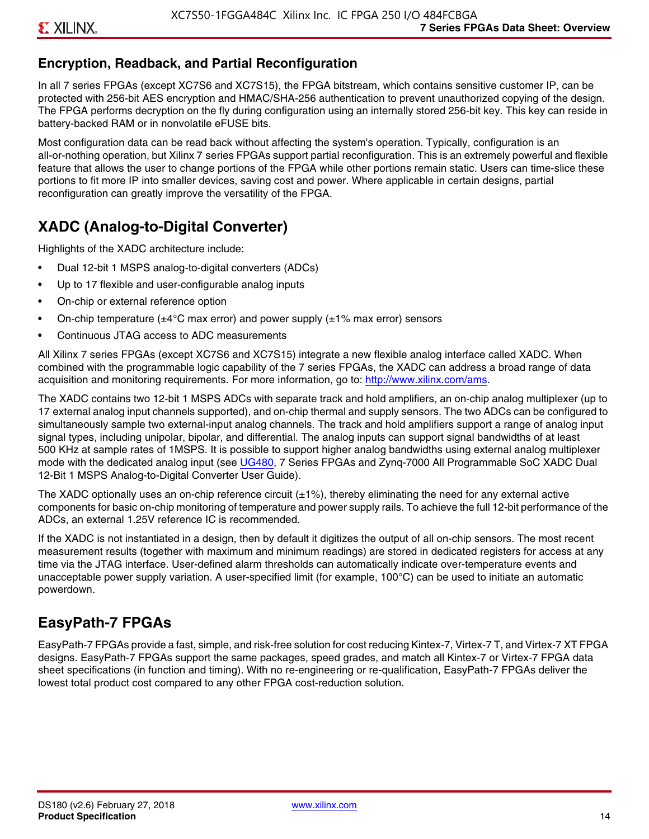# **Encryption, Readback, and Partial Reconfiguration**

In all 7 series FPGAs (except XC7S6 and XC7S15), the FPGA bitstream, which contains sensitive customer IP, can be protected with 256-bit AES encryption and HMAC/SHA-256 authentication to prevent unauthorized copying of the design. The FPGA performs decryption on the fly during configuration using an internally stored 256-bit key. This key can reside in battery-backed RAM or in nonvolatile eFUSE bits.

Most configuration data can be read back without affecting the system's operation. Typically, configuration is an all-or-nothing operation, but Xilinx 7 series FPGAs support partial reconfiguration. This is an extremely powerful and flexible feature that allows the user to change portions of the FPGA while other portions remain static. Users can time-slice these portions to fit more IP into smaller devices, saving cost and power. Where applicable in certain designs, partial reconfiguration can greatly improve the versatility of the FPGA.

# **XADC (Analog-to-Digital Converter)**

Highlights of the XADC architecture include:

- Dual 12-bit 1 MSPS analog-to-digital converters (ADCs)
- Up to 17 flexible and user-configurable analog inputs
- On-chip or external reference option
- On-chip temperature ( $\pm 4^{\circ}$ C max error) and power supply ( $\pm 1\%$  max error) sensors
- Continuous JTAG access to ADC measurements

All Xilinx 7 series FPGAs (except XC7S6 and XC7S15) integrate a new flexible analog interface called XADC. When combined with the programmable logic capability of the 7 series FPGAs, the XADC can address a broad range of data acquisition and monitoring requirements. For more information, go to: [http://www.xilinx.com/ams.](http://www.xilinx.com/ams)

The XADC contains two 12-bit 1 MSPS ADCs with separate track and hold amplifiers, an on-chip analog multiplexer (up to 17 external analog input channels supported), and on-chip thermal and supply sensors. The two ADCs can be configured to simultaneously sample two external-input analog channels. The track and hold amplifiers support a range of analog input signal types, including unipolar, bipolar, and differential. The analog inputs can support signal bandwidths of at least 500 KHz at sample rates of 1MSPS. It is possible to support higher analog bandwidths using external analog multiplexer mode with the dedicated analog input (see [UG480](http://www.xilinx.com/support/documentation/user_guides/ug480_7Series_XADC.pdf), 7 Series FPGAs and Zynq-7000 All Programmable SoC XADC Dual 12-Bit 1 MSPS Analog-to-Digital Converter User Guide)*.*

The XADC optionally uses an on-chip reference circuit  $(\pm 1\%)$ , thereby eliminating the need for any external active components for basic on-chip monitoring of temperature and power supply rails. To achieve the full 12-bit performance of the ADCs, an external 1.25V reference IC is recommended.

If the XADC is not instantiated in a design, then by default it digitizes the output of all on-chip sensors. The most recent measurement results (together with maximum and minimum readings) are stored in dedicated registers for access at any time via the JTAG interface. User-defined alarm thresholds can automatically indicate over-temperature events and unacceptable power supply variation. A user-specified limit (for example, 100°C) can be used to initiate an automatic powerdown.

# **EasyPath-7 FPGAs**

EasyPath-7 FPGAs provide a fast, simple, and risk-free solution for cost reducing Kintex-7, Virtex-7 T, and Virtex-7 XT FPGA designs. EasyPath-7 FPGAs support the same packages, speed grades, and match all Kintex-7 or Virtex-7 FPGA data sheet specifications (in function and timing). With no re-engineering or re-qualification, EasyPath-7 FPGAs deliver the lowest total product cost compared to any other FPGA cost-reduction solution.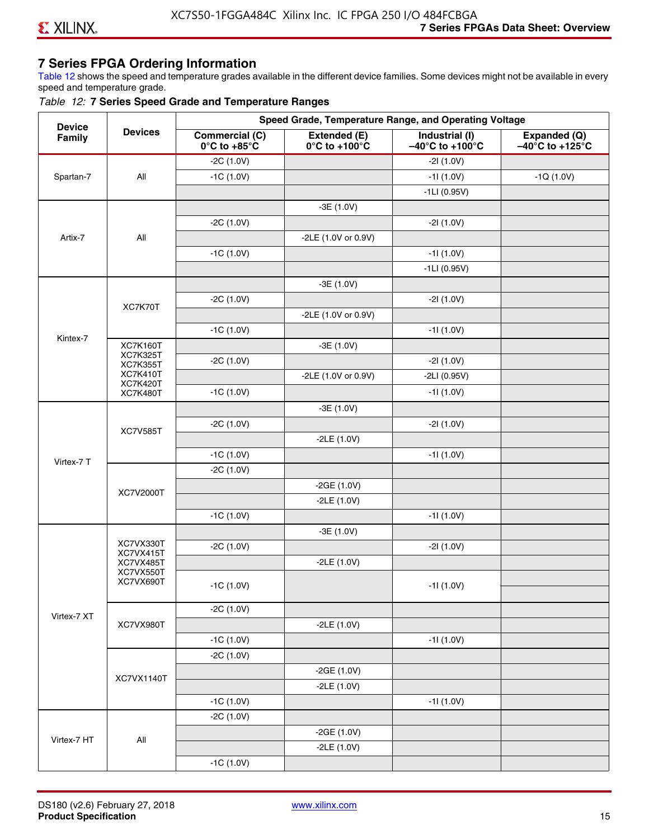### **7 Series FPGA Ordering Information**

Table 12 shows the speed and temperature grades available in the different device families. Some devices might not be available in every speed and temperature grade.

#### *Table 12:* **7 Series Speed Grade and Temperature Ranges**

| <b>Device</b> |                                    |                                                        |                                                    | Speed Grade, Temperature Range, and Operating Voltage  |                                                      |
|---------------|------------------------------------|--------------------------------------------------------|----------------------------------------------------|--------------------------------------------------------|------------------------------------------------------|
| Family        | <b>Devices</b>                     | <b>Commercial (C)</b><br>$0^\circ$ C to +85 $^\circ$ C | Extended (E)<br>$0^{\circ}$ C to +100 $^{\circ}$ C | Industrial (I)<br>$-40^{\circ}$ C to +100 $^{\circ}$ C | Expanded (Q)<br>$-40^{\circ}$ C to +125 $^{\circ}$ C |
|               |                                    | $-2C(1.0V)$                                            |                                                    | $-21(1.0V)$                                            |                                                      |
| Spartan-7     | All                                | $-1C(1.0V)$                                            |                                                    | $-11(1.0V)$                                            | $-1Q(1.0V)$                                          |
|               |                                    |                                                        |                                                    | $-1LI(0.95V)$                                          |                                                      |
|               |                                    |                                                        | $-3E(1.0V)$                                        |                                                        |                                                      |
|               |                                    | $-2C(1.0V)$                                            |                                                    | $-21(1.0V)$                                            |                                                      |
| Artix-7       | All                                |                                                        | -2LE (1.0V or 0.9V)                                |                                                        |                                                      |
|               |                                    | $-1C(1.0V)$                                            |                                                    | $-11(1.0V)$                                            |                                                      |
|               |                                    |                                                        |                                                    | $-1LI(0.95V)$                                          |                                                      |
|               |                                    |                                                        | $-3E(1.0V)$                                        |                                                        |                                                      |
|               |                                    | $-2C(1.0V)$                                            |                                                    | $-21(1.0V)$                                            |                                                      |
|               | XC7K70T                            |                                                        | -2LE (1.0V or 0.9V)                                |                                                        |                                                      |
|               |                                    | $-1C(1.0V)$                                            |                                                    | $-11(1.0V)$                                            |                                                      |
| Kintex-7      | <b>XC7K160T</b>                    |                                                        | $-3E(1.0V)$                                        |                                                        |                                                      |
|               | <b>XC7K325T</b><br><b>XC7K355T</b> | $-2C(1.0V)$                                            |                                                    | $-21(1.0V)$                                            |                                                      |
|               | <b>XC7K410T</b>                    |                                                        | -2LE (1.0V or 0.9V)                                | $-2LI(0.95V)$                                          |                                                      |
|               | <b>XC7K420T</b><br><b>XC7K480T</b> | $-1C(1.0V)$                                            |                                                    | $-11(1.0V)$                                            |                                                      |
|               |                                    |                                                        | $-3E(1.0V)$                                        |                                                        |                                                      |
|               |                                    | $-2C(1.0V)$                                            |                                                    | $-21(1.0V)$                                            |                                                      |
|               | <b>XC7V585T</b>                    |                                                        | $-2LE(1.0V)$                                       |                                                        |                                                      |
|               |                                    | $-1C(1.0V)$                                            |                                                    | $-11(1.0V)$                                            |                                                      |
| Virtex-7 T    |                                    | $-2C(1.0V)$                                            |                                                    |                                                        |                                                      |
|               |                                    |                                                        | $-2GE(1.0V)$                                       |                                                        |                                                      |
|               | XC7V2000T                          |                                                        | $-2LE(1.0V)$                                       |                                                        |                                                      |
|               |                                    | $-1C(1.0V)$                                            |                                                    | $-11(1.0V)$                                            |                                                      |
|               |                                    |                                                        | $-3E(1.0V)$                                        |                                                        |                                                      |
|               | XC7VX330T                          | $-2C(1.0V)$                                            |                                                    | $-21(1.0V)$                                            |                                                      |
|               | XC7VX415T<br>XC7VX485T             |                                                        | $-2LE(1.0V)$                                       |                                                        |                                                      |
|               | XC7VX550T<br>XC7VX690T             |                                                        |                                                    |                                                        |                                                      |
|               |                                    | $-1C(1.0V)$                                            |                                                    | -11 (1.0V)                                             |                                                      |
|               |                                    | $-2C(1.0V)$                                            |                                                    |                                                        |                                                      |
| Virtex-7 XT   | XC7VX980T                          |                                                        | $-2LE(1.0V)$                                       |                                                        |                                                      |
|               |                                    | $-1C(1.0V)$                                            |                                                    | $-11(1.0V)$                                            |                                                      |
|               |                                    | $-2C(1.0V)$                                            |                                                    |                                                        |                                                      |
|               |                                    |                                                        | $-2GE(1.0V)$                                       |                                                        |                                                      |
|               | XC7VX1140T                         |                                                        | $-2LE(1.0V)$                                       |                                                        |                                                      |
|               |                                    | $-1C(1.0V)$                                            |                                                    | $-11(1.0V)$                                            |                                                      |
|               |                                    | $-2C(1.0V)$                                            |                                                    |                                                        |                                                      |
|               |                                    |                                                        | $-2GE(1.0V)$                                       |                                                        |                                                      |
| Virtex-7 HT   | All                                |                                                        | $-2LE(1.0V)$                                       |                                                        |                                                      |
|               |                                    | $-1C(1.0V)$                                            |                                                    |                                                        |                                                      |
|               |                                    |                                                        |                                                    |                                                        |                                                      |

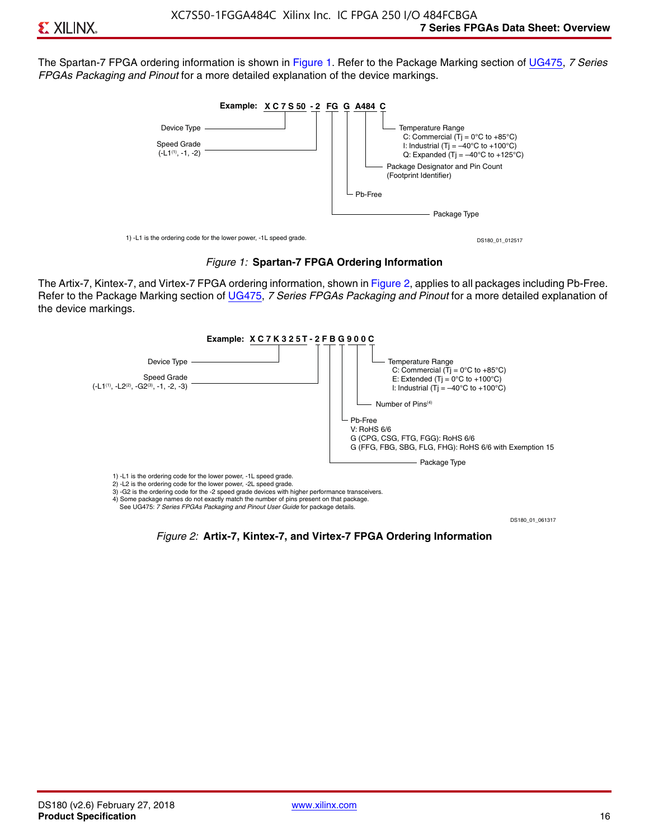The Spartan-7 FPGA ordering information is shown in Figure 1. Refer to the Package Marking section of [UG475,](http://www.xilinx.com/support/documentation/user_guides/ug475_7Series_Pkg_Pinout.pdf) *7 Series FPGAs Packaging and Pinout* for a more detailed explanation of the device markings.





The Artix-7, Kintex-7, and Virtex-7 FPGA ordering information, shown in Figure 2, applies to all packages including Pb-Free. Refer to the Package Marking section of [UG475](http://www.xilinx.com/support/documentation/user_guides/ug475_7Series_Pkg_Pinout.pdf), *7 Series FPGAs Packaging and Pinout* for a more detailed explanation of the device markings.



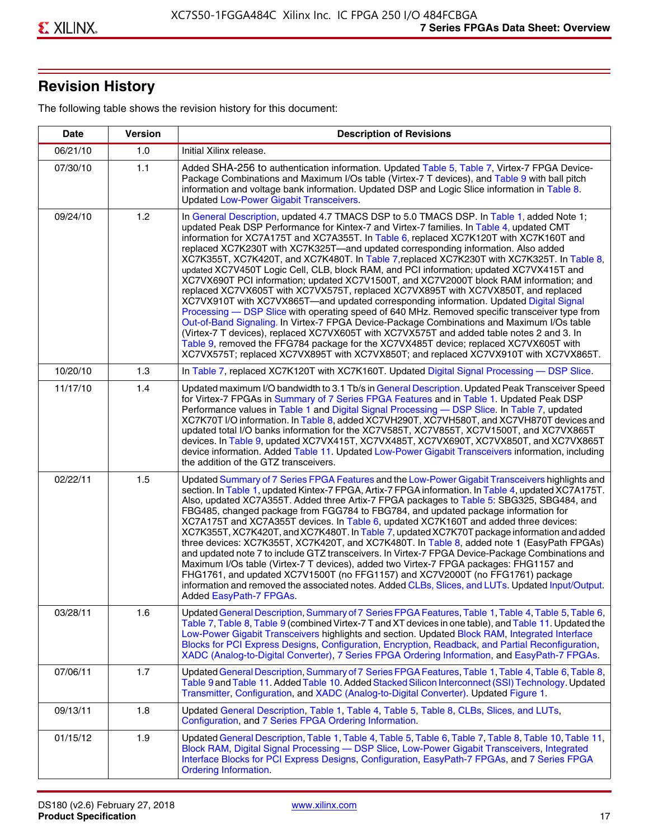# **Revision History**

The following table shows the revision history for this document:

| <b>Date</b> | <b>Version</b> | <b>Description of Revisions</b>                                                                                                                                                                                                                                                                                                                                                                                                                                                                                                                                                                                                                                                                                                                                                                                                                                                                                                                                                                                                                                                                                                                                                                                                                                                                                       |
|-------------|----------------|-----------------------------------------------------------------------------------------------------------------------------------------------------------------------------------------------------------------------------------------------------------------------------------------------------------------------------------------------------------------------------------------------------------------------------------------------------------------------------------------------------------------------------------------------------------------------------------------------------------------------------------------------------------------------------------------------------------------------------------------------------------------------------------------------------------------------------------------------------------------------------------------------------------------------------------------------------------------------------------------------------------------------------------------------------------------------------------------------------------------------------------------------------------------------------------------------------------------------------------------------------------------------------------------------------------------------|
| 06/21/10    | 1.0            | Initial Xilinx release.                                                                                                                                                                                                                                                                                                                                                                                                                                                                                                                                                                                                                                                                                                                                                                                                                                                                                                                                                                                                                                                                                                                                                                                                                                                                                               |
| 07/30/10    | 1.1            | Added SHA-256 to authentication information. Updated Table 5, Table 7, Virtex-7 FPGA Device-<br>Package Combinations and Maximum I/Os table (Virtex-7 T devices), and Table 9 with ball pitch<br>information and voltage bank information. Updated DSP and Logic Slice information in Table 8.<br><b>Updated Low-Power Gigabit Transceivers.</b>                                                                                                                                                                                                                                                                                                                                                                                                                                                                                                                                                                                                                                                                                                                                                                                                                                                                                                                                                                      |
| 09/24/10    | 1.2            | In General Description, updated 4.7 TMACS DSP to 5.0 TMACS DSP. In Table 1, added Note 1;<br>updated Peak DSP Performance for Kintex-7 and Virtex-7 families. In Table 4, updated CMT<br>information for XC7A175T and XC7A355T. In Table 6, replaced XC7K120T with XC7K160T and<br>replaced XC7K230T with XC7K325T-and updated corresponding information. Also added<br>XC7K355T, XC7K420T, and XC7K480T. In Table 7, replaced XC7K230T with XC7K325T. In Table 8,<br>updated XC7V450T Logic Cell, CLB, block RAM, and PCI information; updated XC7VX415T and<br>XC7VX690T PCI information; updated XC7V1500T, and XC7V2000T block RAM information; and<br>replaced XC7VX605T with XC7VX575T, replaced XC7VX895T with XC7VX850T, and replaced<br>XC7VX910T with XC7VX865T—and updated corresponding information. Updated Digital Signal<br>Processing - DSP Slice with operating speed of 640 MHz. Removed specific transceiver type from<br>Out-of-Band Signaling. In Virtex-7 FPGA Device-Package Combinations and Maximum I/Os table<br>(Virtex-7 T devices), replaced XC7VX605T with XC7VX575T and added table notes 2 and 3. In<br>Table 9, removed the FFG784 package for the XC7VX485T device; replaced XC7VX605T with<br>XC7VX575T; replaced XC7VX895T with XC7VX850T; and replaced XC7VX910T with XC7VX865T. |
| 10/20/10    | 1.3            | In Table 7, replaced XC7K120T with XC7K160T. Updated Digital Signal Processing - DSP Slice.                                                                                                                                                                                                                                                                                                                                                                                                                                                                                                                                                                                                                                                                                                                                                                                                                                                                                                                                                                                                                                                                                                                                                                                                                           |
| 11/17/10    | 1.4            | Updated maximum I/O bandwidth to 3.1 Tb/s in General Description. Updated Peak Transceiver Speed<br>for Virtex-7 FPGAs in Summary of 7 Series FPGA Features and in Table 1. Updated Peak DSP<br>Performance values in Table 1 and Digital Signal Processing - DSP Slice. In Table 7, updated<br>XC7K70T I/O information. In Table 8, added XC7VH290T, XC7VH580T, and XC7VH870T devices and<br>updated total I/O banks information for the XC7V585T, XC7V855T, XC7V1500T, and XC7VX865T<br>devices. In Table 9, updated XC7VX415T, XC7VX485T, XC7VX690T, XC7VX850T, and XC7VX865T<br>device information. Added Table 11. Updated Low-Power Gigabit Transceivers information, including<br>the addition of the GTZ transceivers.                                                                                                                                                                                                                                                                                                                                                                                                                                                                                                                                                                                        |
| 02/22/11    | 1.5            | Updated Summary of 7 Series FPGA Features and the Low-Power Gigabit Transceivers highlights and<br>section. In Table 1, updated Kintex-7 FPGA, Artix-7 FPGA information. In Table 4, updated XC7A175T.<br>Also, updated XC7A355T. Added three Artix-7 FPGA packages to Table 5: SBG325, SBG484, and<br>FBG485, changed package from FGG784 to FBG784, and updated package information for<br>XC7A175T and XC7A355T devices. In Table 6, updated XC7K160T and added three devices:<br>XC7K355T, XC7K420T, and XC7K480T. In Table 7, updated XC7K70T package information and added<br>three devices: XC7K355T, XC7K420T, and XC7K480T. In Table 8, added note 1 (EasyPath FPGAs)<br>and updated note 7 to include GTZ transceivers. In Virtex-7 FPGA Device-Package Combinations and<br>Maximum I/Os table (Virtex-7 T devices), added two Virtex-7 FPGA packages: FHG1157 and<br>FHG1761, and updated XC7V1500T (no FFG1157) and XC7V2000T (no FFG1761) package<br>information and removed the associated notes. Added CLBs, Slices, and LUTs. Updated Input/Output.<br>Added EasyPath-7 FPGAs.                                                                                                                                                                                                                        |
| 03/28/11    | 1.6            | Updated General Description, Summary of 7 Series FPGA Features, Table 1, Table 4, Table 5, Table 6,<br>Table 7, Table 8, Table 9 (combined Virtex-7 T and XT devices in one table), and Table 11. Updated the<br>Low-Power Gigabit Transceivers highlights and section. Updated Block RAM, Integrated Interface<br>Blocks for PCI Express Designs, Configuration, Encryption, Readback, and Partial Reconfiguration,<br>XADC (Analog-to-Digital Converter), 7 Series FPGA Ordering Information, and EasyPath-7 FPGAs.                                                                                                                                                                                                                                                                                                                                                                                                                                                                                                                                                                                                                                                                                                                                                                                                 |
| 07/06/11    | 1.7            | Updated General Description, Summary of 7 Series FPGA Features, Table 1, Table 4, Table 6, Table 8,<br>Table 9 and Table 11. Added Table 10. Added Stacked Silicon Interconnect (SSI) Technology. Updated<br>Transmitter, Configuration, and XADC (Analog-to-Digital Converter). Updated Figure 1.                                                                                                                                                                                                                                                                                                                                                                                                                                                                                                                                                                                                                                                                                                                                                                                                                                                                                                                                                                                                                    |
| 09/13/11    | 1.8            | Updated General Description, Table 1, Table 4, Table 5, Table 8, CLBs, Slices, and LUTs,<br>Configuration, and 7 Series FPGA Ordering Information.                                                                                                                                                                                                                                                                                                                                                                                                                                                                                                                                                                                                                                                                                                                                                                                                                                                                                                                                                                                                                                                                                                                                                                    |
| 01/15/12    | 1.9            | Updated General Description, Table 1, Table 4, Table 5, Table 6, Table 7, Table 8, Table 10, Table 11,<br>Block RAM, Digital Signal Processing - DSP Slice, Low-Power Gigabit Transceivers, Integrated<br>Interface Blocks for PCI Express Designs, Configuration, EasyPath-7 FPGAs, and 7 Series FPGA<br>Ordering Information.                                                                                                                                                                                                                                                                                                                                                                                                                                                                                                                                                                                                                                                                                                                                                                                                                                                                                                                                                                                       |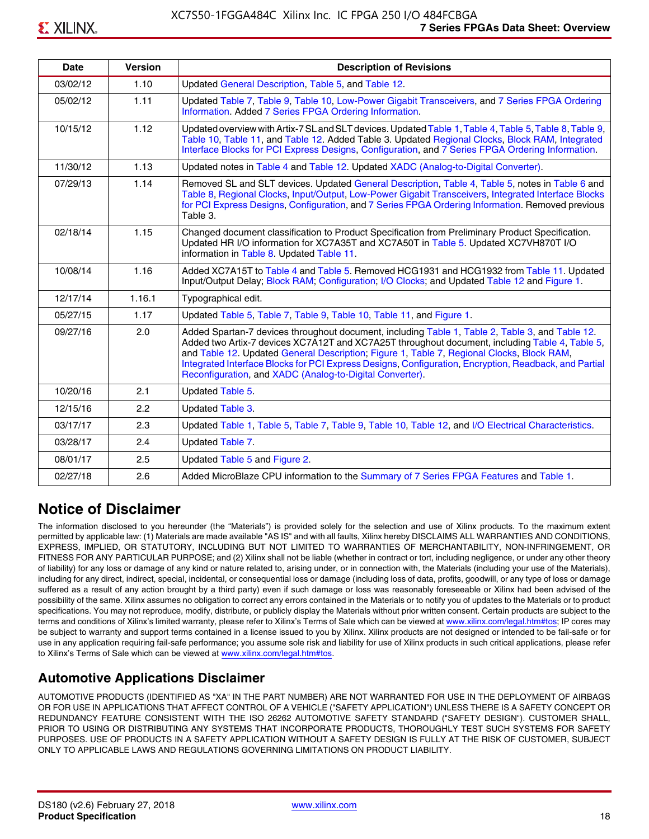| <b>Date</b> | <b>Version</b> | <b>Description of Revisions</b>                                                                                                                                                                                                                                                                                                                                                                                                                                     |
|-------------|----------------|---------------------------------------------------------------------------------------------------------------------------------------------------------------------------------------------------------------------------------------------------------------------------------------------------------------------------------------------------------------------------------------------------------------------------------------------------------------------|
| 03/02/12    | 1.10           | Updated General Description, Table 5, and Table 12.                                                                                                                                                                                                                                                                                                                                                                                                                 |
| 05/02/12    | 1.11           | Updated Table 7, Table 9, Table 10, Low-Power Gigabit Transceivers, and 7 Series FPGA Ordering<br>Information. Added 7 Series FPGA Ordering Information.                                                                                                                                                                                                                                                                                                            |
| 10/15/12    | 1.12           | Updated overview with Artix-7 SL and SLT devices. Updated Table 1, Table 4, Table 5, Table 8, Table 9,<br>Table 10, Table 11, and Table 12. Added Table 3. Updated Regional Clocks, Block RAM, Integrated<br>Interface Blocks for PCI Express Designs, Configuration, and 7 Series FPGA Ordering Information.                                                                                                                                                       |
| 11/30/12    | 1.13           | Updated notes in Table 4 and Table 12. Updated XADC (Analog-to-Digital Converter).                                                                                                                                                                                                                                                                                                                                                                                  |
| 07/29/13    | 1.14           | Removed SL and SLT devices. Updated General Description, Table 4, Table 5, notes in Table 6 and<br>Table 8, Regional Clocks, Input/Output, Low-Power Gigabit Transceivers, Integrated Interface Blocks<br>for PCI Express Designs, Configuration, and 7 Series FPGA Ordering Information. Removed previous<br>Table 3.                                                                                                                                              |
| 02/18/14    | 1.15           | Changed document classification to Product Specification from Preliminary Product Specification.<br>Updated HR I/O information for XC7A35T and XC7A50T in Table 5. Updated XC7VH870T I/O<br>information in Table 8. Updated Table 11.                                                                                                                                                                                                                               |
| 10/08/14    | 1.16           | Added XC7A15T to Table 4 and Table 5. Removed HCG1931 and HCG1932 from Table 11. Updated<br>Input/Output Delay; Block RAM; Configuration; I/O Clocks; and Updated Table 12 and Figure 1.                                                                                                                                                                                                                                                                            |
| 12/17/14    | 1.16.1         | Typographical edit.                                                                                                                                                                                                                                                                                                                                                                                                                                                 |
| 05/27/15    | 1.17           | Updated Table 5, Table 7, Table 9, Table 10, Table 11, and Figure 1.                                                                                                                                                                                                                                                                                                                                                                                                |
| 09/27/16    | 2.0            | Added Spartan-7 devices throughout document, including Table 1, Table 2, Table 3, and Table 12.<br>Added two Artix-7 devices XC7A12T and XC7A25T throughout document, including Table 4, Table 5,<br>and Table 12. Updated General Description; Figure 1, Table 7, Regional Clocks, Block RAM,<br>Integrated Interface Blocks for PCI Express Designs, Configuration, Encryption, Readback, and Partial<br>Reconfiguration, and XADC (Analog-to-Digital Converter). |
| 10/20/16    | 2.1            | Updated Table 5.                                                                                                                                                                                                                                                                                                                                                                                                                                                    |
| 12/15/16    | 2.2            | Updated Table 3.                                                                                                                                                                                                                                                                                                                                                                                                                                                    |
| 03/17/17    | 2.3            | Updated Table 1, Table 5, Table 7, Table 9, Table 10, Table 12, and I/O Electrical Characteristics.                                                                                                                                                                                                                                                                                                                                                                 |
| 03/28/17    | 2.4            | Updated Table 7.                                                                                                                                                                                                                                                                                                                                                                                                                                                    |
| 08/01/17    | 2.5            | Updated Table 5 and Figure 2.                                                                                                                                                                                                                                                                                                                                                                                                                                       |
| 02/27/18    | 2.6            | Added MicroBlaze CPU information to the Summary of 7 Series FPGA Features and Table 1.                                                                                                                                                                                                                                                                                                                                                                              |

# **Notice of Disclaimer**

The information disclosed to you hereunder (the "Materials") is provided solely for the selection and use of Xilinx products. To the maximum extent permitted by applicable law: (1) Materials are made available "AS IS" and with all faults, Xilinx hereby DISCLAIMS ALL WARRANTIES AND CONDITIONS, EXPRESS, IMPLIED, OR STATUTORY, INCLUDING BUT NOT LIMITED TO WARRANTIES OF MERCHANTABILITY, NON-INFRINGEMENT, OR FITNESS FOR ANY PARTICULAR PURPOSE; and (2) Xilinx shall not be liable (whether in contract or tort, including negligence, or under any other theory of liability) for any loss or damage of any kind or nature related to, arising under, or in connection with, the Materials (including your use of the Materials), including for any direct, indirect, special, incidental, or consequential loss or damage (including loss of data, profits, goodwill, or any type of loss or damage suffered as a result of any action brought by a third party) even if such damage or loss was reasonably foreseeable or Xilinx had been advised of the possibility of the same. Xilinx assumes no obligation to correct any errors contained in the Materials or to notify you of updates to the Materials or to product specifications. You may not reproduce, modify, distribute, or publicly display the Materials without prior written consent. Certain products are subject to the terms and conditions of Xilinx's limited warranty, please refer to Xilinx's Terms of Sale which can be viewed at [www.xilinx.com/legal.htm#tos;](www.xilinx.com/legal.htm#tos) IP cores may be subject to warranty and support terms contained in a license issued to you by Xilinx. Xilinx products are not designed or intended to be fail-safe or for use in any application requiring fail-safe performance; you assume sole risk and liability for use of Xilinx products in such critical applications, please refer to Xilinx's Terms of Sale which can be viewed at <www.xilinx.com/legal.htm#tos>.

# **Automotive Applications Disclaimer**

AUTOMOTIVE PRODUCTS (IDENTIFIED AS "XA" IN THE PART NUMBER) ARE NOT WARRANTED FOR USE IN THE DEPLOYMENT OF AIRBAGS OR FOR USE IN APPLICATIONS THAT AFFECT CONTROL OF A VEHICLE ("SAFETY APPLICATION") UNLESS THERE IS A SAFETY CONCEPT OR REDUNDANCY FEATURE CONSISTENT WITH THE ISO 26262 AUTOMOTIVE SAFETY STANDARD ("SAFETY DESIGN"). CUSTOMER SHALL, PRIOR TO USING OR DISTRIBUTING ANY SYSTEMS THAT INCORPORATE PRODUCTS, THOROUGHLY TEST SUCH SYSTEMS FOR SAFETY PURPOSES. USE OF PRODUCTS IN A SAFETY APPLICATION WITHOUT A SAFETY DESIGN IS FULLY AT THE RISK OF CUSTOMER, SUBJECT ONLY TO APPLICABLE LAWS AND REGULATIONS GOVERNING LIMITATIONS ON PRODUCT LIABILITY.